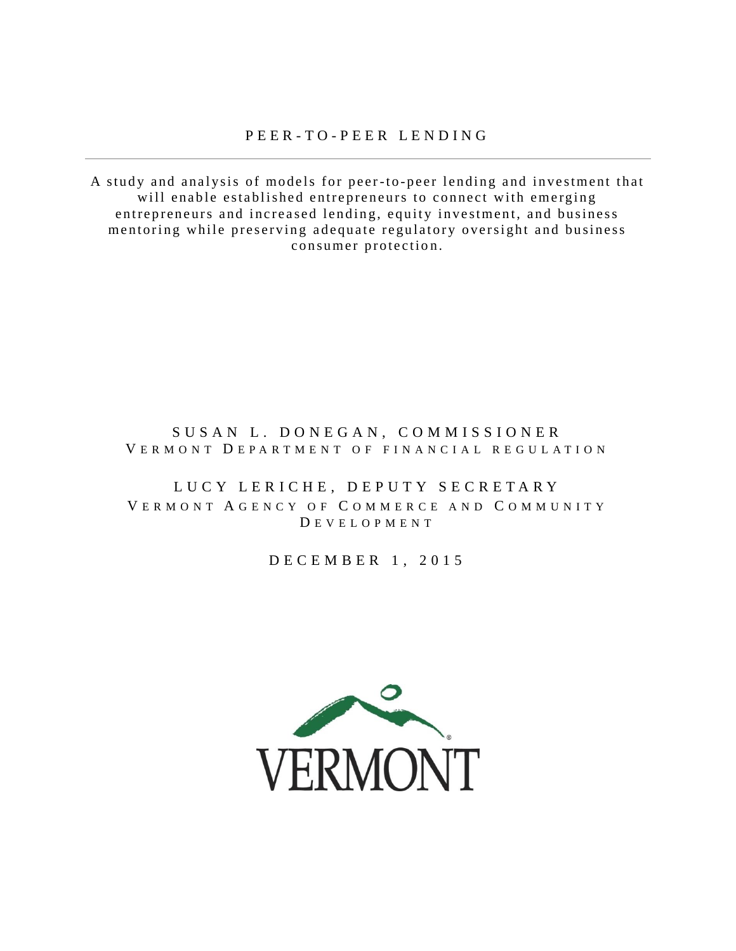A study and analysis of models for peer-to-peer lending and investment that will enable established entrepreneurs to connect with emerging entrepreneurs and increased lending, equity investment, and business mentoring while preserving adequate regulatory oversight and business consumer protection.

## SUSAN L. DONEGAN, COMMISSIONER V E R M O N T D E P A R T M E N T O F F I N A N C I A L R E G U L A T I O N

## LUCY LERICHE, DEPUTY SECRETARY V E R M O N T A G E N C Y O F C O M M E R C E A N D C O M M U N I T Y D E V E L O P M E N T

D E C E M B E R 1 , 2 0 1 5

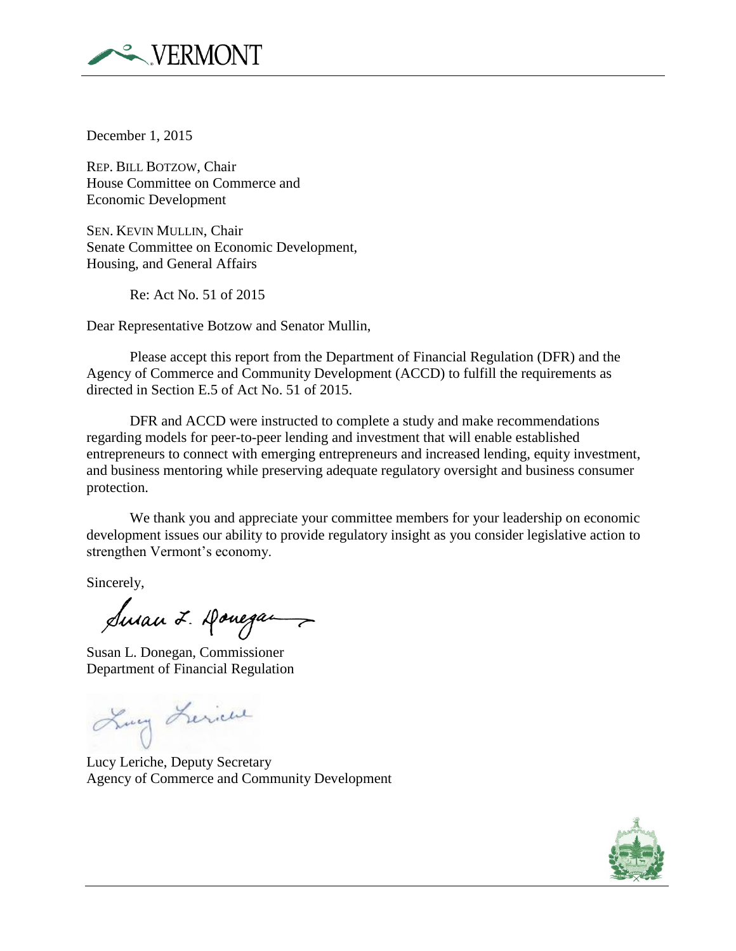

December 1, 2015

REP. BILL BOTZOW, Chair House Committee on Commerce and Economic Development

SEN. KEVIN MULLIN, Chair Senate Committee on Economic Development, Housing, and General Affairs

Re: Act No. 51 of 2015

Dear Representative Botzow and Senator Mullin,

Please accept this report from the Department of Financial Regulation (DFR) and the Agency of Commerce and Community Development (ACCD) to fulfill the requirements as directed in Section E.5 of Act No. 51 of 2015.

DFR and ACCD were instructed to complete a study and make recommendations regarding models for peer-to-peer lending and investment that will enable established entrepreneurs to connect with emerging entrepreneurs and increased lending, equity investment, and business mentoring while preserving adequate regulatory oversight and business consumer protection.

We thank you and appreciate your committee members for your leadership on economic development issues our ability to provide regulatory insight as you consider legislative action to strengthen Vermont's economy.

Sincerely,

Sman I. Donegan

Susan L. Donegan, Commissioner Department of Financial Regulation

Lung Lerice

Lucy Leriche, Deputy Secretary Agency of Commerce and Community Development

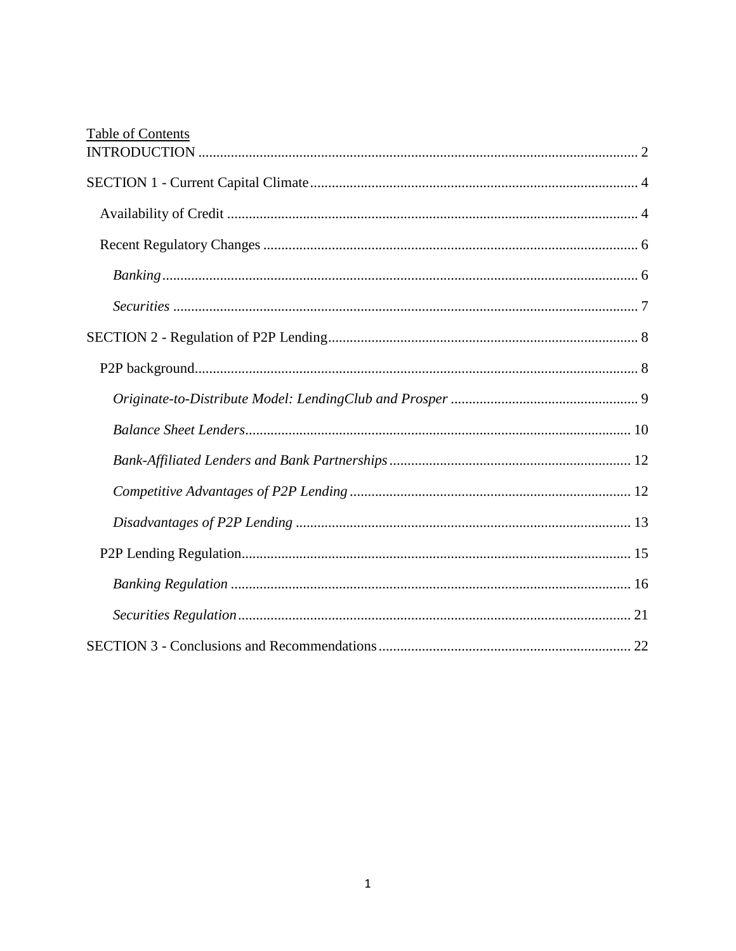| <b>Table of Contents</b> |
|--------------------------|
|                          |
|                          |
|                          |
|                          |
|                          |
|                          |
|                          |
|                          |
|                          |
|                          |
|                          |
|                          |
|                          |
|                          |
|                          |
|                          |
|                          |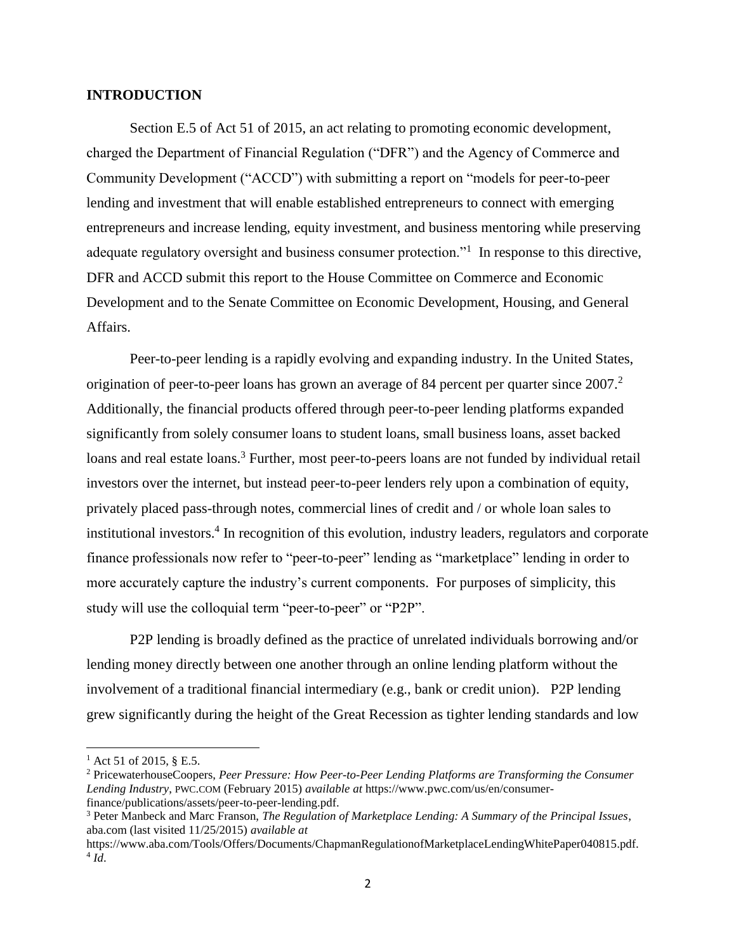### <span id="page-3-0"></span>**INTRODUCTION**

Section E.5 of Act 51 of 2015, an act relating to promoting economic development, charged the Department of Financial Regulation ("DFR") and the Agency of Commerce and Community Development ("ACCD") with submitting a report on "models for peer-to-peer lending and investment that will enable established entrepreneurs to connect with emerging entrepreneurs and increase lending, equity investment, and business mentoring while preserving adequate regulatory oversight and business consumer protection."<sup>1</sup> In response to this directive, DFR and ACCD submit this report to the House Committee on Commerce and Economic Development and to the Senate Committee on Economic Development, Housing, and General Affairs.

Peer-to-peer lending is a rapidly evolving and expanding industry. In the United States, origination of peer-to-peer loans has grown an average of 84 percent per quarter since  $2007$ .<sup>2</sup> Additionally, the financial products offered through peer-to-peer lending platforms expanded significantly from solely consumer loans to student loans, small business loans, asset backed loans and real estate loans.<sup>3</sup> Further, most peer-to-peers loans are not funded by individual retail investors over the internet, but instead peer-to-peer lenders rely upon a combination of equity, privately placed pass-through notes, commercial lines of credit and / or whole loan sales to institutional investors.<sup>4</sup> In recognition of this evolution, industry leaders, regulators and corporate finance professionals now refer to "peer-to-peer" lending as "marketplace" lending in order to more accurately capture the industry's current components. For purposes of simplicity, this study will use the colloquial term "peer-to-peer" or "P2P".

P2P lending is broadly defined as the practice of unrelated individuals borrowing and/or lending money directly between one another through an online lending platform without the involvement of a traditional financial intermediary (e.g., bank or credit union). P2P lending grew significantly during the height of the Great Recession as tighter lending standards and low

<sup>&</sup>lt;sup>1</sup> Act 51 of 2015, § E.5.

<sup>2</sup> PricewaterhouseCoopers, *Peer Pressure: How Peer-to-Peer Lending Platforms are Transforming the Consumer Lending Industry*, PWC.COM (February 2015) *available at* [https://www.pwc.com/us/en/consumer](https://www.pwc.com/us/en/consumer-finance/publications/assets/peer-to-peer-lending.pdf)[finance/publications/assets/peer-to-peer-lending.pdf.](https://www.pwc.com/us/en/consumer-finance/publications/assets/peer-to-peer-lending.pdf)

<sup>3</sup> Peter Manbeck and Marc Franson, *The Regulation of Marketplace Lending: A Summary of the Principal Issues*, aba.com (last visited 11/25/2015) *available at*

https://www.aba.com/Tools/Offers/Documents/ChapmanRegulationofMarketplaceLendingWhitePaper040815.pdf. 4 *Id*.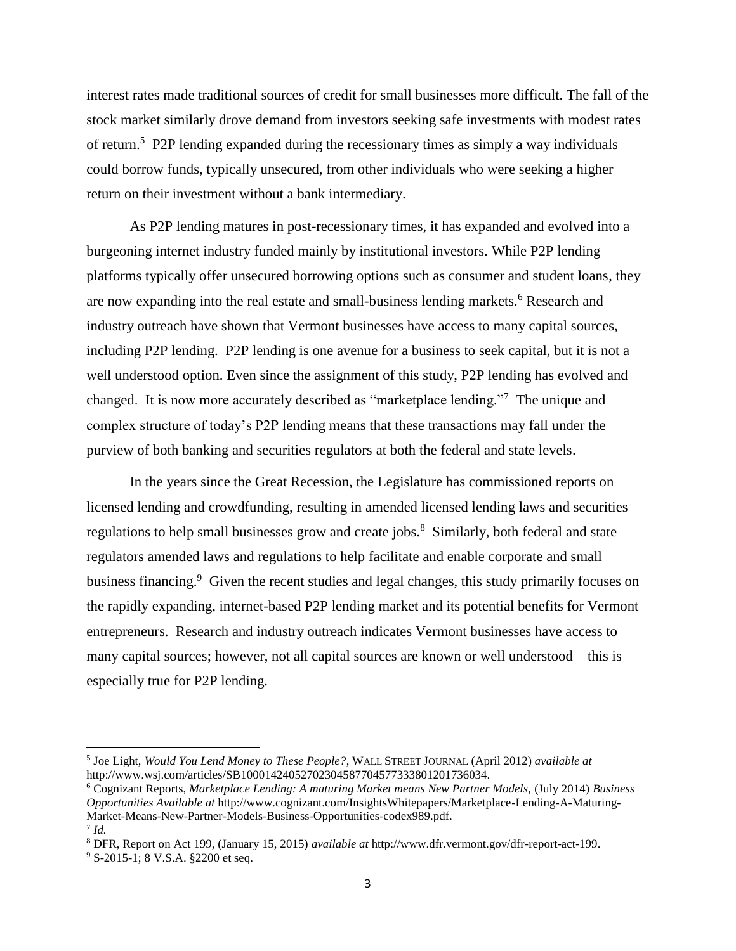interest rates made traditional sources of credit for small businesses more difficult. The fall of the stock market similarly drove demand from investors seeking safe investments with modest rates of return.<sup>5</sup> P2P lending expanded during the recessionary times as simply a way individuals could borrow funds, typically unsecured, from other individuals who were seeking a higher return on their investment without a bank intermediary.

As P2P lending matures in post-recessionary times, it has expanded and evolved into a burgeoning internet industry funded mainly by institutional investors. While P2P lending platforms typically offer unsecured borrowing options such as consumer and student loans, they are now expanding into the real estate and small-business lending markets.<sup>6</sup> Research and industry outreach have shown that Vermont businesses have access to many capital sources, including P2P lending. P2P lending is one avenue for a business to seek capital, but it is not a well understood option. Even since the assignment of this study, P2P lending has evolved and changed. It is now more accurately described as "marketplace lending."<sup>7</sup> The unique and complex structure of today's P2P lending means that these transactions may fall under the purview of both banking and securities regulators at both the federal and state levels.

In the years since the Great Recession, the Legislature has commissioned reports on licensed lending and crowdfunding, resulting in amended licensed lending laws and securities regulations to help small businesses grow and create jobs.<sup>8</sup> Similarly, both federal and state regulators amended laws and regulations to help facilitate and enable corporate and small business financing.<sup>9</sup> Given the recent studies and legal changes, this study primarily focuses on the rapidly expanding, internet-based P2P lending market and its potential benefits for Vermont entrepreneurs. Research and industry outreach indicates Vermont businesses have access to many capital sources; however, not all capital sources are known or well understood – this is especially true for P2P lending.

<sup>5</sup> Joe Light, *Would You Lend Money to These People?*, WALL STREET JOURNAL (April 2012) *available at* http://www.wsj.com/articles/SB10001424052702304587704577333801201736034.

<sup>6</sup> Cognizant Reports, *Marketplace Lending: A maturing Market means New Partner Models,* (July 2014) *Business Opportunities Available at* http://www.cognizant.com/InsightsWhitepapers/Marketplace-Lending-A-Maturing-Market-Means-New-Partner-Models-Business-Opportunities-codex989.pdf.

<sup>7</sup> *Id.*

<sup>8</sup> DFR, Report on Act 199, (January 15, 2015) *available at* http://www.dfr.vermont.gov/dfr-report-act-199.

<sup>&</sup>lt;sup>9</sup> S-2015-1; 8 V.S.A. §2200 et seq.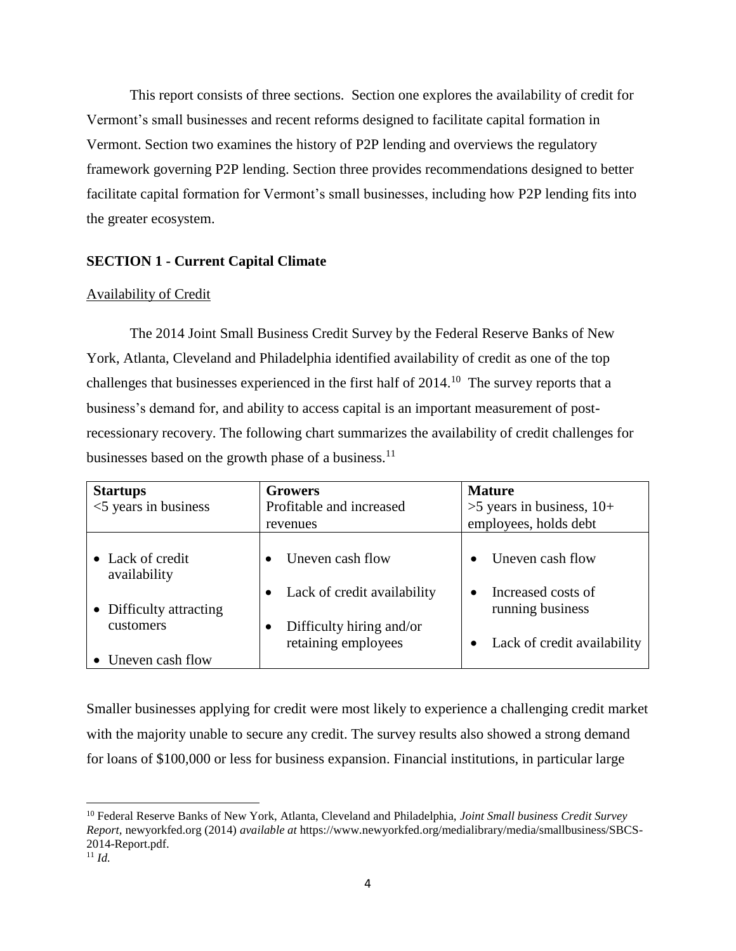This report consists of three sections. Section one explores the availability of credit for Vermont's small businesses and recent reforms designed to facilitate capital formation in Vermont. Section two examines the history of P2P lending and overviews the regulatory framework governing P2P lending. Section three provides recommendations designed to better facilitate capital formation for Vermont's small businesses, including how P2P lending fits into the greater ecosystem.

## <span id="page-5-0"></span>**SECTION 1 - Current Capital Climate**

## <span id="page-5-1"></span>Availability of Credit

The 2014 Joint Small Business Credit Survey by the Federal Reserve Banks of New York, Atlanta, Cleveland and Philadelphia identified availability of credit as one of the top challenges that businesses experienced in the first half of  $2014$ .<sup>10</sup> The survey reports that a business's demand for, and ability to access capital is an important measurement of postrecessionary recovery. The following chart summarizes the availability of credit challenges for businesses based on the growth phase of a business. $^{11}$ 

| <b>Startups</b><br>$<$ 5 years in business                                                     | <b>Growers</b><br>Profitable and increased<br>revenues                                             | <b>Mature</b><br>$>5$ years in business, 10+<br>employees, holds debt                     |
|------------------------------------------------------------------------------------------------|----------------------------------------------------------------------------------------------------|-------------------------------------------------------------------------------------------|
| • Lack of credit<br>availability<br>• Difficulty attracting<br>customers<br>• Uneven cash flow | Uneven cash flow<br>Lack of credit availability<br>Difficulty hiring and/or<br>retaining employees | Uneven cash flow<br>Increased costs of<br>running business<br>Lack of credit availability |

Smaller businesses applying for credit were most likely to experience a challenging credit market with the majority unable to secure any credit. The survey results also showed a strong demand for loans of \$100,000 or less for business expansion. Financial institutions, in particular large

<sup>10</sup> Federal Reserve Banks of New York, Atlanta, Cleveland and Philadelphia, *Joint Small business Credit Survey Report,* newyorkfed.org (2014) *available at* https://www.newyorkfed.org/medialibrary/media/smallbusiness/SBCS-2014-Report.pdf.

 $11$  *Id.*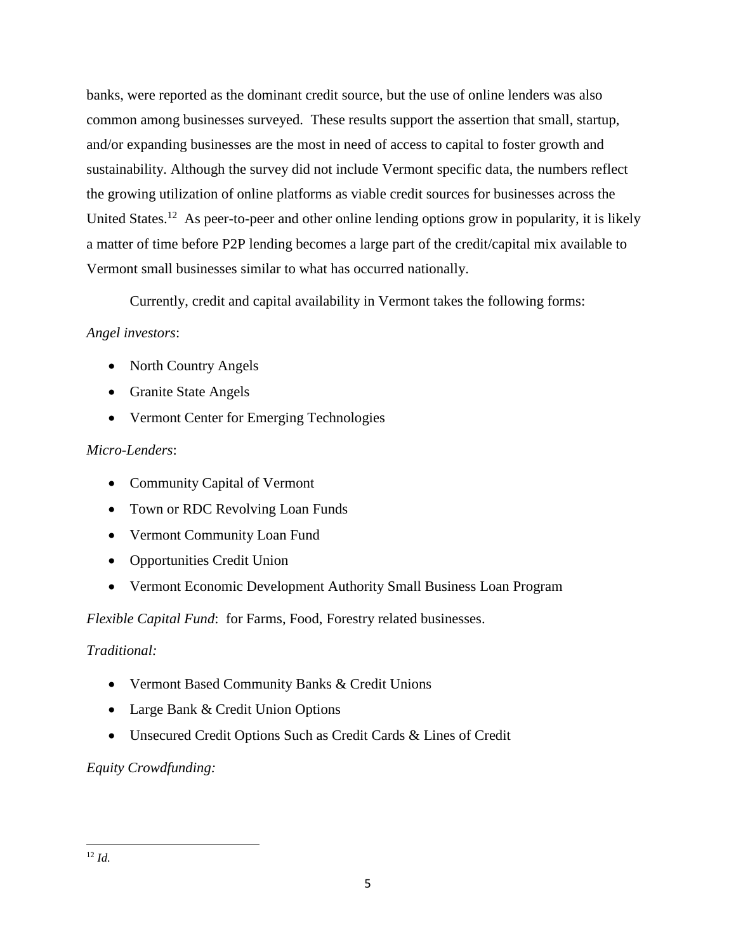banks, were reported as the dominant credit source, but the use of online lenders was also common among businesses surveyed. These results support the assertion that small, startup, and/or expanding businesses are the most in need of access to capital to foster growth and sustainability. Although the survey did not include Vermont specific data, the numbers reflect the growing utilization of online platforms as viable credit sources for businesses across the United States.<sup>12</sup> As peer-to-peer and other online lending options grow in popularity, it is likely a matter of time before P2P lending becomes a large part of the credit/capital mix available to Vermont small businesses similar to what has occurred nationally.

Currently, credit and capital availability in Vermont takes the following forms:

# *Angel investors*:

- North Country Angels
- Granite State Angels
- Vermont Center for Emerging Technologies

# *Micro-Lenders*:

- Community Capital of Vermont
- Town or RDC Revolving Loan Funds
- Vermont Community Loan Fund
- Opportunities Credit Union
- Vermont Economic Development Authority Small Business Loan Program

*Flexible Capital Fund*: for Farms, Food, Forestry related businesses.

# *Traditional:*

- Vermont Based Community Banks & Credit Unions
- Large Bank & Credit Union Options
- Unsecured Credit Options Such as Credit Cards & Lines of Credit

# *Equity Crowdfunding:*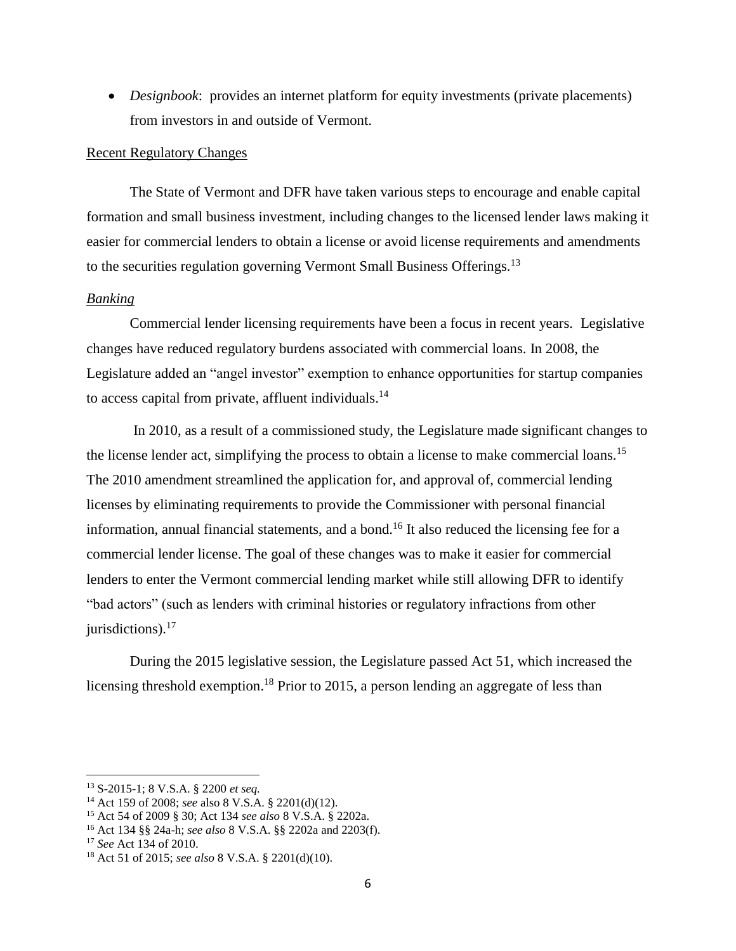*Designbook*: provides an internet platform for equity investments (private placements) from investors in and outside of Vermont.

### <span id="page-7-0"></span>Recent Regulatory Changes

The State of Vermont and DFR have taken various steps to encourage and enable capital formation and small business investment, including changes to the licensed lender laws making it easier for commercial lenders to obtain a license or avoid license requirements and amendments to the securities regulation governing Vermont Small Business Offerings.<sup>13</sup>

## <span id="page-7-1"></span>*Banking*

Commercial lender licensing requirements have been a focus in recent years. Legislative changes have reduced regulatory burdens associated with commercial loans. In 2008, the Legislature added an "angel investor" exemption to enhance opportunities for startup companies to access capital from private, affluent individuals.<sup>14</sup>

In 2010, as a result of a commissioned study, the Legislature made significant changes to the license lender act, simplifying the process to obtain a license to make commercial loans.<sup>15</sup> The 2010 amendment streamlined the application for, and approval of, commercial lending licenses by eliminating requirements to provide the Commissioner with personal financial information, annual financial statements, and a bond.<sup>16</sup> It also reduced the licensing fee for a commercial lender license. The goal of these changes was to make it easier for commercial lenders to enter the Vermont commercial lending market while still allowing DFR to identify "bad actors" (such as lenders with criminal histories or regulatory infractions from other jurisdictions). $^{17}$ 

During the 2015 legislative session, the Legislature passed Act 51, which increased the licensing threshold exemption.<sup>18</sup> Prior to 2015, a person lending an aggregate of less than

l

<sup>13</sup> S-2015-1; 8 V.S.A. § 2200 *et seq.*

<sup>14</sup> Act 159 of 2008; *see* also 8 V.S.A. § 2201(d)(12).

<sup>15</sup> Act 54 of 2009 § 30; Act 134 *see also* 8 V.S.A. § 2202a.

<sup>16</sup> Act 134 §§ 24a-h; *see also* 8 V.S.A. §§ 2202a and 2203(f).

<sup>17</sup> *See* Act 134 of 2010.

<sup>18</sup> Act 51 of 2015; *see also* 8 V.S.A. § 2201(d)(10).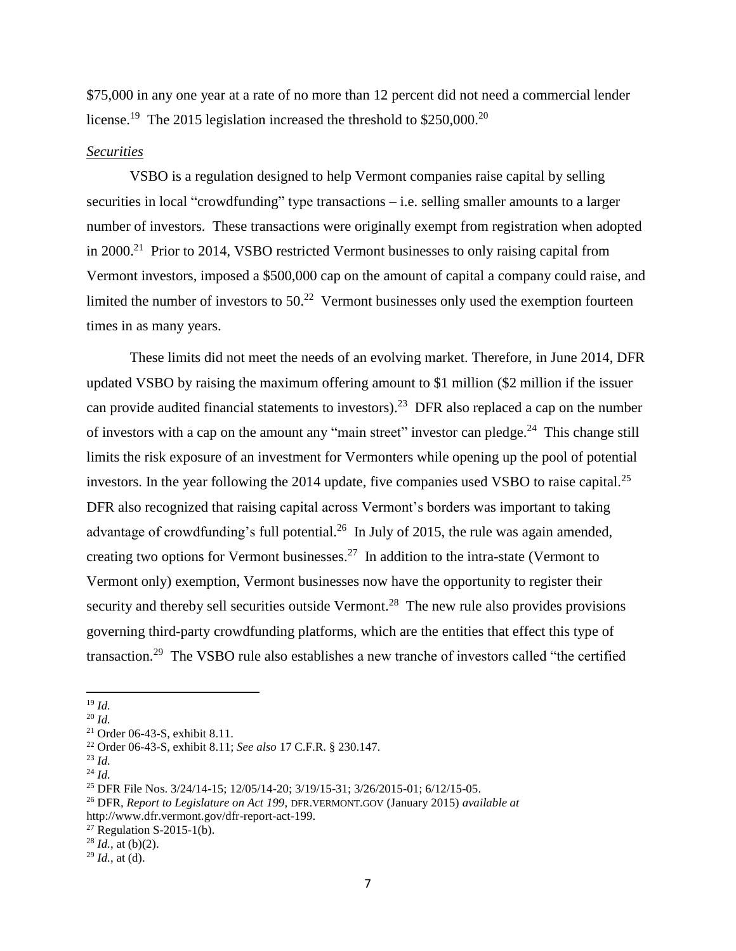\$75,000 in any one year at a rate of no more than 12 percent did not need a commercial lender license.<sup>19</sup> The 2015 legislation increased the threshold to \$250,000.<sup>20</sup>

### <span id="page-8-0"></span>*Securities*

VSBO is a regulation designed to help Vermont companies raise capital by selling securities in local "crowdfunding" type transactions – i.e. selling smaller amounts to a larger number of investors. These transactions were originally exempt from registration when adopted in 2000.<sup>21</sup> Prior to 2014, VSBO restricted Vermont businesses to only raising capital from Vermont investors, imposed a \$500,000 cap on the amount of capital a company could raise, and limited the number of investors to  $50<sup>22</sup>$  Vermont businesses only used the exemption fourteen times in as many years.

These limits did not meet the needs of an evolving market. Therefore, in June 2014, DFR updated VSBO by raising the maximum offering amount to \$1 million (\$2 million if the issuer can provide audited financial statements to investors).<sup>23</sup> DFR also replaced a cap on the number of investors with a cap on the amount any "main street" investor can pledge.<sup>24</sup> This change still limits the risk exposure of an investment for Vermonters while opening up the pool of potential investors. In the year following the 2014 update, five companies used VSBO to raise capital.<sup>25</sup> DFR also recognized that raising capital across Vermont's borders was important to taking advantage of crowdfunding's full potential.<sup>26</sup> In July of 2015, the rule was again amended, creating two options for Vermont businesses.<sup>27</sup> In addition to the intra-state (Vermont to Vermont only) exemption, Vermont businesses now have the opportunity to register their security and thereby sell securities outside Vermont.<sup>28</sup> The new rule also provides provisions governing third-party crowdfunding platforms, which are the entities that effect this type of transaction.<sup>29</sup> The VSBO rule also establishes a new tranche of investors called "the certified

<sup>19</sup> *Id.*

<sup>20</sup> *Id.*

<sup>21</sup> Order 06-43-S, exhibit 8.11.

<sup>22</sup> Order 06-43-S, exhibit 8.11; *See also* 17 C.F.R. § 230.147.

<sup>23</sup> *Id.*

<sup>24</sup> *Id.*

<sup>25</sup> DFR File Nos. 3/24/14-15; 12/05/14-20; 3/19/15-31; 3/26/2015-01; 6/12/15-05.

<sup>26</sup> DFR, *Report to Legislature on Act 199*, DFR.VERMONT.GOV (January 2015) *available at*  http://www.dfr.vermont.gov/dfr-report-act-199.

<sup>&</sup>lt;sup>27</sup> Regulation S-2015-1(b).

 $^{28}$  *Id.*, at (b)(2).

 $^{29}$  *Id.*, at (d).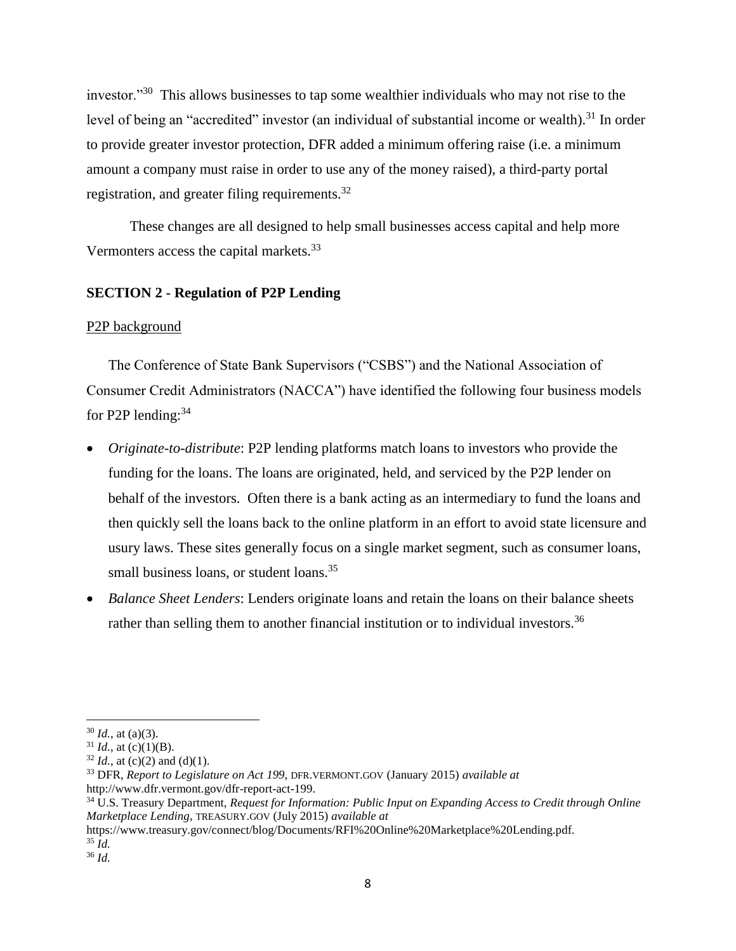investor."<sup>30</sup> This allows businesses to tap some wealthier individuals who may not rise to the level of being an "accredited" investor (an individual of substantial income or wealth).<sup>31</sup> In order to provide greater investor protection, DFR added a minimum offering raise (i.e. a minimum amount a company must raise in order to use any of the money raised), a third-party portal registration, and greater filing requirements.<sup>32</sup>

These changes are all designed to help small businesses access capital and help more Vermonters access the capital markets.<sup>33</sup>

## <span id="page-9-0"></span>**SECTION 2 - Regulation of P2P Lending**

### <span id="page-9-1"></span>P2P background

The Conference of State Bank Supervisors ("CSBS") and the National Association of Consumer Credit Administrators (NACCA") have identified the following four business models for P2P lending: $34$ 

- *Originate-to-distribute*: P2P lending platforms match loans to investors who provide the funding for the loans. The loans are originated, held, and serviced by the P2P lender on behalf of the investors. Often there is a bank acting as an intermediary to fund the loans and then quickly sell the loans back to the online platform in an effort to avoid state licensure and usury laws. These sites generally focus on a single market segment, such as consumer loans, small business loans, or student loans.<sup>35</sup>
- *Balance Sheet Lenders*: Lenders originate loans and retain the loans on their balance sheets rather than selling them to another financial institution or to individual investors.<sup>36</sup>

https://www.treasury.gov/connect/blog/Documents/RFI%20Online%20Marketplace%20Lending.pdf. <sup>35</sup> *Id.*

 $30$  *Id.*, at (a)(3).

 $31$  *Id.*, at (c)(1)(B).

 $32$  *Id.*, at (c)(2) and (d)(1).

<sup>33</sup> DFR, *Report to Legislature on Act 199*, DFR.VERMONT.GOV (January 2015) *available at*  http://www.dfr.vermont.gov/dfr-report-act-199.

<sup>34</sup> U.S. Treasury Department, *Request for Information: Public Input on Expanding Access to Credit through Online Marketplace Lending*, TREASURY.GOV (July 2015) *available at*

<sup>36</sup> *Id.*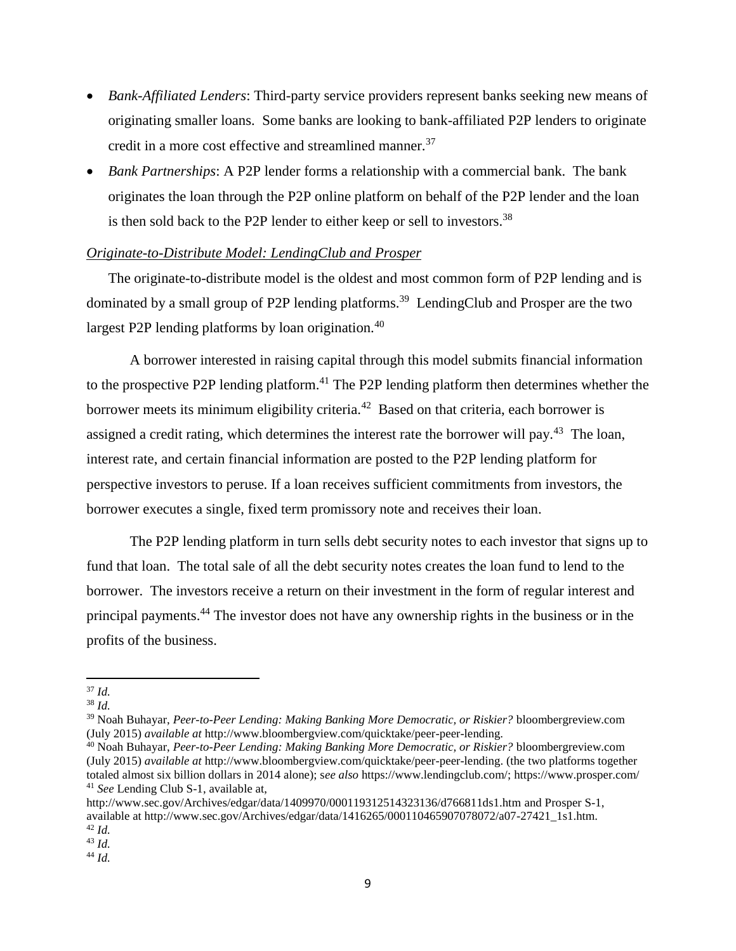- *Bank-Affiliated Lenders*: Third-party service providers represent banks seeking new means of originating smaller loans. Some banks are looking to bank-affiliated P2P lenders to originate credit in a more cost effective and streamlined manner.<sup>37</sup>
- *Bank Partnerships*: A P2P lender forms a relationship with a commercial bank. The bank originates the loan through the P2P online platform on behalf of the P2P lender and the loan is then sold back to the P2P lender to either keep or sell to investors.<sup>38</sup>

## <span id="page-10-0"></span>*Originate-to-Distribute Model: LendingClub and Prosper*

The originate-to-distribute model is the oldest and most common form of P2P lending and is dominated by a small group of P2P lending platforms.<sup>39</sup> LendingClub and Prosper are the two largest P2P lending platforms by loan origination.<sup>40</sup>

A borrower interested in raising capital through this model submits financial information to the prospective P2P lending platform.<sup>41</sup> The P2P lending platform then determines whether the borrower meets its minimum eligibility criteria.<sup>42</sup> Based on that criteria, each borrower is assigned a credit rating, which determines the interest rate the borrower will pay.<sup>43</sup> The loan, interest rate, and certain financial information are posted to the P2P lending platform for perspective investors to peruse. If a loan receives sufficient commitments from investors, the borrower executes a single, fixed term promissory note and receives their loan.

The P2P lending platform in turn sells debt security notes to each investor that signs up to fund that loan. The total sale of all the debt security notes creates the loan fund to lend to the borrower. The investors receive a return on their investment in the form of regular interest and principal payments.<sup>44</sup> The investor does not have any ownership rights in the business or in the profits of the business.

<sup>44</sup> *Id.*

 $\overline{\phantom{a}}$ <sup>37</sup> *Id.*

<sup>38</sup> *Id.*

<sup>39</sup> Noah Buhayar, *Peer-to-Peer Lending: Making Banking More Democratic, or Riskier?* bloombergreview.com (July 2015) *available at* http://www.bloombergview.com/quicktake/peer-peer-lending.

<sup>40</sup> Noah Buhayar, *Peer-to-Peer Lending: Making Banking More Democratic, or Riskier?* bloombergreview.com (July 2015) *available at* [http://www.bloombergview.com/quicktake/peer-peer-lending.](http://www.bloombergview.com/quicktake/peer-peer-lending) (the two platforms together totaled almost six billion dollars in 2014 alone); s*ee also* [https://www.lendingclub.com/;](https://www.lendingclub.com/) https://www.prosper.com/ <sup>41</sup> *See* Lending Club S-1, available at,

<http://www.sec.gov/Archives/edgar/data/1409970/000119312514323136/d766811ds1.htm> and Prosper S-1, available at http://www.sec.gov/Archives/edgar/data/1416265/000110465907078072/a07-27421\_1s1.htm. <sup>42</sup> *Id.*

<sup>43</sup> *Id.*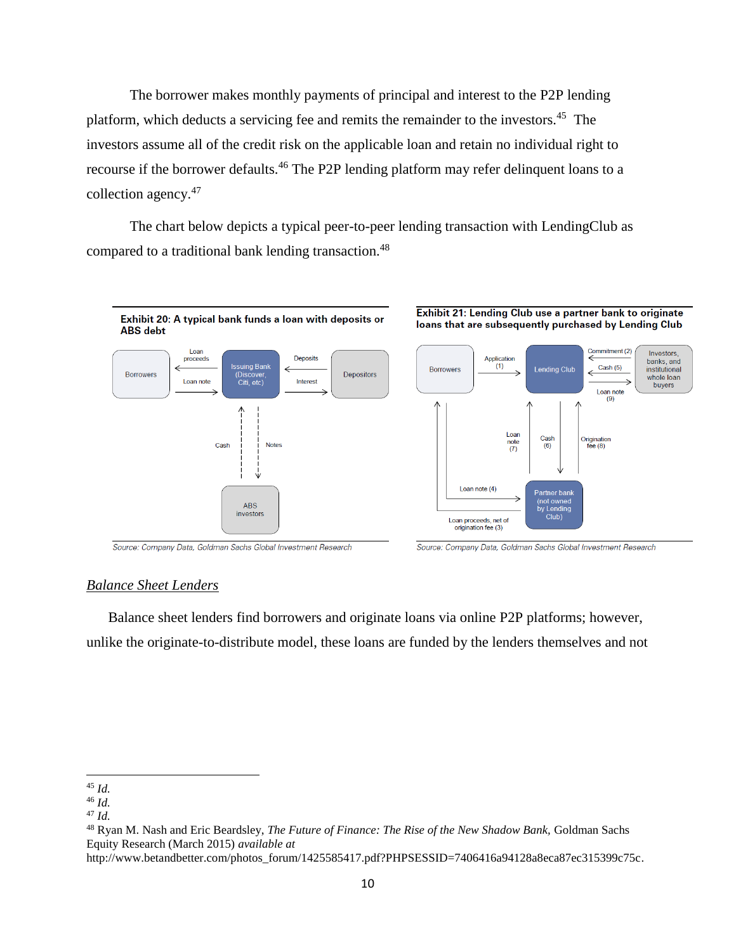The borrower makes monthly payments of principal and interest to the P2P lending platform, which deducts a servicing fee and remits the remainder to the investors.<sup>45</sup> The investors assume all of the credit risk on the applicable loan and retain no individual right to recourse if the borrower defaults.<sup>46</sup> The P2P lending platform may refer delinquent loans to a collection agency.<sup>47</sup>

The chart below depicts a typical peer-to-peer lending transaction with LendingClub as compared to a traditional bank lending transaction.<sup>48</sup>



Source: Company Data, Goldman Sachs Global Investment Research

Source: Company Data, Goldman Sachs Global Investment Research

## <span id="page-11-0"></span>*Balance Sheet Lenders*

Balance sheet lenders find borrowers and originate loans via online P2P platforms; however, unlike the originate-to-distribute model, these loans are funded by the lenders themselves and not

l <sup>45</sup> *Id.*

<sup>46</sup> *Id.*

<sup>47</sup> *Id.*

<sup>48</sup> Ryan M. Nash and Eric Beardsley, *The Future of Finance: The Rise of the New Shadow Bank,* Goldman Sachs Equity Research (March 2015) *available at*

[http://www.betandbetter.com/photos\\_forum/1425585417.pdf?PHPSESSID=7406416a94128a8eca87ec315399c75c.](http://www.betandbetter.com/photos_forum/1425585417.pdf?PHPSESSID=7406416a94128a8eca87ec315399c75c)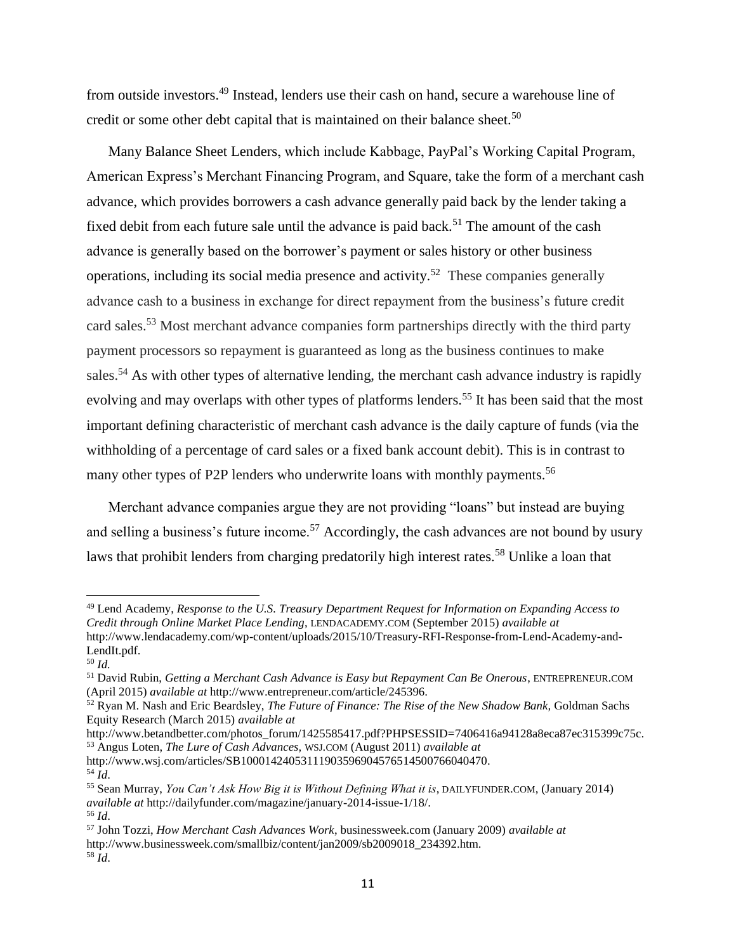from outside investors.<sup>49</sup> Instead, lenders use their cash on hand, secure a warehouse line of credit or some other debt capital that is maintained on their balance sheet.<sup>50</sup>

Many Balance Sheet Lenders, which include Kabbage, PayPal's Working Capital Program, American Express's Merchant Financing Program, and Square, take the form of a merchant cash advance, which provides borrowers a cash advance generally paid back by the lender taking a fixed debit from each future sale until the advance is paid back.<sup>51</sup> The amount of the cash advance is generally based on the borrower's payment or sales history or other business operations, including its social media presence and activity.<sup>52</sup> These companies generally advance cash to a business in exchange for direct repayment from the business's future credit card sales.<sup>53</sup> Most merchant advance companies form partnerships directly with the third party payment processors so repayment is guaranteed as long as the business continues to make sales.<sup>54</sup> As with other types of alternative lending, the merchant cash advance industry is rapidly evolving and may overlaps with other types of platforms lenders.<sup>55</sup> It has been said that the most important defining characteristic of merchant cash advance is the daily capture of funds (via the withholding of a percentage of card sales or a fixed bank account debit). This is in contrast to many other types of P2P lenders who underwrite loans with monthly payments.<sup>56</sup>

Merchant advance companies argue they are not providing "loans" but instead are buying and selling a business's future income.<sup>57</sup> Accordingly, the cash advances are not bound by usury laws that prohibit lenders from charging predatorily high interest rates.<sup>58</sup> Unlike a loan that

 $\overline{\phantom{a}}$ 

[http://www.wsj.com/articles/SB10001424053111903596904576514500766040470.](http://www.wsj.com/articles/SB10001424053111903596904576514500766040470)  $\overline{54}$   $\overline{Id}$ .

<sup>49</sup> Lend Academy, *Response to the U.S. Treasury Department Request for Information on Expanding Access to Credit through Online Market Place Lending*, LENDACADEMY.COM (September 2015) *available at* http://www.lendacademy.com/wp-content/uploads/2015/10/Treasury-RFI-Response-from-Lend-Academy-and-LendIt.pdf.

<sup>50</sup> *Id.*

<sup>51</sup> David Rubin, *Getting a Merchant Cash Advance is Easy but Repayment Can Be Onerous*, ENTREPRENEUR.COM (April 2015) *available at* http://www.entrepreneur.com/article/245396.

<sup>52</sup> Ryan M. Nash and Eric Beardsley, *The Future of Finance: The Rise of the New Shadow Bank,* Goldman Sachs Equity Research (March 2015) *available at*

[http://www.betandbetter.com/photos\\_forum/1425585417.pdf?PHPSESSID=7406416a94128a8eca87ec315399c75c.](http://www.betandbetter.com/photos_forum/1425585417.pdf?PHPSESSID=7406416a94128a8eca87ec315399c75c) <sup>53</sup> Angus Loten, *The Lure of Cash Advances,* WSJ.COM (August 2011) *available at*

<sup>55</sup> Sean Murray, *You Can't Ask How Big it is Without Defining What it is*, DAILYFUNDER.COM, (January 2014) *available at* http://dailyfunder.com/magazine/january-2014-issue-1/18/. <sup>56</sup> *Id*.

<sup>57</sup> John Tozzi, *How Merchant Cash Advances Work*, businessweek.com (January 2009) *available at* http://www.businessweek.com/smallbiz/content/jan2009/sb2009018\_234392.htm.  $^{58}$  *Id.*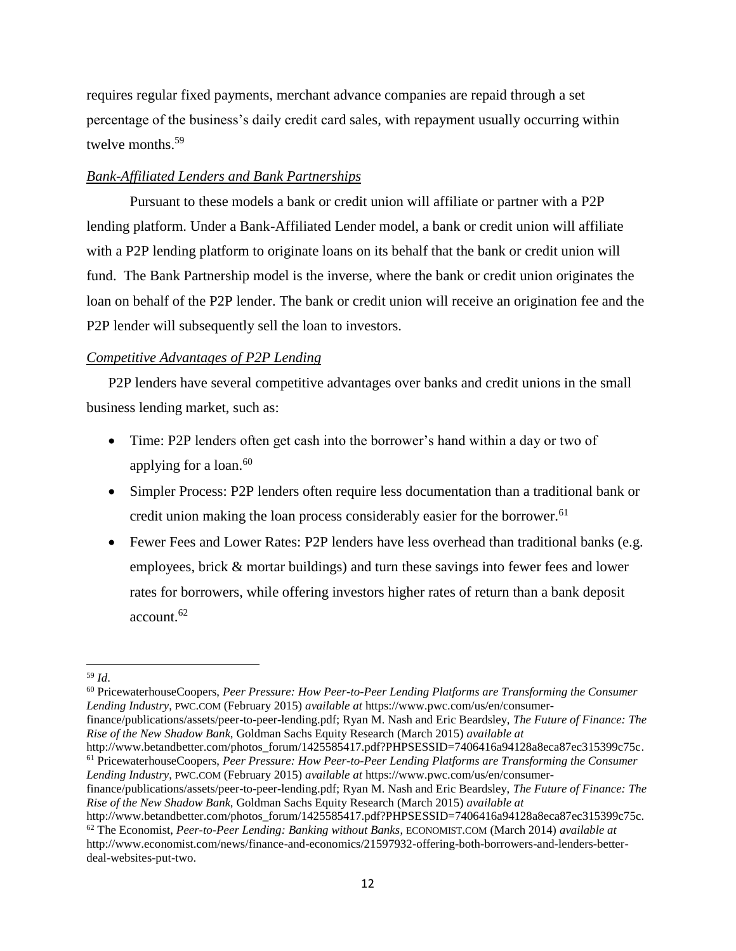requires regular fixed payments, merchant advance companies are repaid through a set percentage of the business's daily credit card sales, with repayment usually occurring within twelve months.<sup>59</sup>

## <span id="page-13-0"></span>*Bank-Affiliated Lenders and Bank Partnerships*

Pursuant to these models a bank or credit union will affiliate or partner with a P2P lending platform. Under a Bank-Affiliated Lender model, a bank or credit union will affiliate with a P2P lending platform to originate loans on its behalf that the bank or credit union will fund. The Bank Partnership model is the inverse, where the bank or credit union originates the loan on behalf of the P2P lender. The bank or credit union will receive an origination fee and the P2P lender will subsequently sell the loan to investors.

## <span id="page-13-1"></span>*Competitive Advantages of P2P Lending*

P2P lenders have several competitive advantages over banks and credit unions in the small business lending market, such as:

- Time: P2P lenders often get cash into the borrower's hand within a day or two of applying for a loan. $60$
- Simpler Process: P2P lenders often require less documentation than a traditional bank or credit union making the loan process considerably easier for the borrower.<sup>61</sup>
- Fewer Fees and Lower Rates: P2P lenders have less overhead than traditional banks (e.g. employees, brick & mortar buildings) and turn these savings into fewer fees and lower rates for borrowers, while offering investors higher rates of return than a bank deposit account.<sup>62</sup>

 $\overline{a}$ <sup>59</sup> *Id*.

<sup>60</sup> PricewaterhouseCoopers, *Peer Pressure: How Peer-to-Peer Lending Platforms are Transforming the Consumer Lending Industry*, PWC.COM (February 2015) *available at* [https://www.pwc.com/us/en/consumer-](https://www.pwc.com/us/en/consumer-finance/publications/assets/peer-to-peer-lending.pdf)

[finance/publications/assets/peer-to-peer-lending.pdf;](https://www.pwc.com/us/en/consumer-finance/publications/assets/peer-to-peer-lending.pdf) Ryan M. Nash and Eric Beardsley, *The Future of Finance: The Rise of the New Shadow Bank,* Goldman Sachs Equity Research (March 2015) *available at*

[http://www.betandbetter.com/photos\\_forum/1425585417.pdf?PHPSESSID=7406416a94128a8eca87ec315399c75c.](http://www.betandbetter.com/photos_forum/1425585417.pdf?PHPSESSID=7406416a94128a8eca87ec315399c75c) <sup>61</sup> PricewaterhouseCoopers, *Peer Pressure: How Peer-to-Peer Lending Platforms are Transforming the Consumer Lending Industry*, PWC.COM (February 2015) *available at* [https://www.pwc.com/us/en/consumer-](https://www.pwc.com/us/en/consumer-finance/publications/assets/peer-to-peer-lending.pdf)

[finance/publications/assets/peer-to-peer-lending.pdf;](https://www.pwc.com/us/en/consumer-finance/publications/assets/peer-to-peer-lending.pdf) Ryan M. Nash and Eric Beardsley, *The Future of Finance: The Rise of the New Shadow Bank,* Goldman Sachs Equity Research (March 2015) *available at*

[http://www.betandbetter.com/photos\\_forum/1425585417.pdf?PHPSESSID=7406416a94128a8eca87ec315399c75c.](http://www.betandbetter.com/photos_forum/1425585417.pdf?PHPSESSID=7406416a94128a8eca87ec315399c75c) <sup>62</sup> The Economist, *Peer-to-Peer Lending: Banking without Banks*, ECONOMIST.COM (March 2014) *available at* http://www.economist.com/news/finance-and-economics/21597932-offering-both-borrowers-and-lenders-betterdeal-websites-put-two.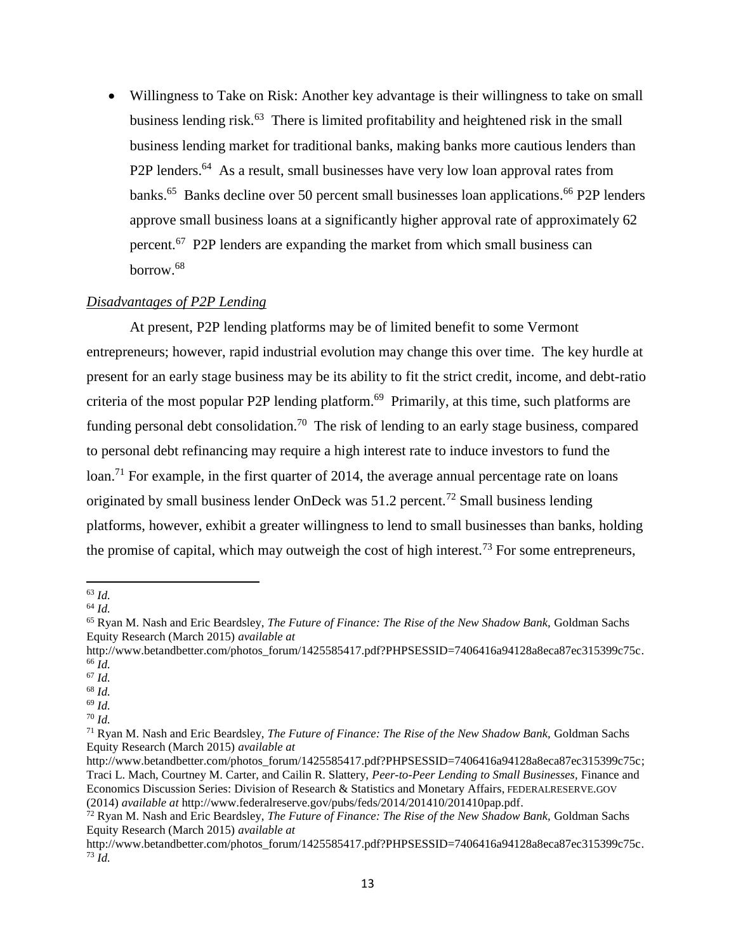Willingness to Take on Risk: Another key advantage is their willingness to take on small business lending risk.<sup>63</sup> There is limited profitability and heightened risk in the small business lending market for traditional banks, making banks more cautious lenders than P2P lenders.<sup>64</sup> As a result, small businesses have very low loan approval rates from banks.<sup>65</sup> Banks decline over 50 percent small businesses loan applications.<sup>66</sup> P2P lenders approve small business loans at a significantly higher approval rate of approximately 62 percent.<sup>67</sup> P2P lenders are expanding the market from which small business can borrow.<sup>68</sup>

## <span id="page-14-0"></span>*Disadvantages of P2P Lending*

At present, P2P lending platforms may be of limited benefit to some Vermont entrepreneurs; however, rapid industrial evolution may change this over time. The key hurdle at present for an early stage business may be its ability to fit the strict credit, income, and debt-ratio criteria of the most popular P2P lending platform.<sup>69</sup> Primarily, at this time, such platforms are funding personal debt consolidation.<sup>70</sup> The risk of lending to an early stage business, compared to personal debt refinancing may require a high interest rate to induce investors to fund the loan.<sup>71</sup> For example, in the first quarter of 2014, the average annual percentage rate on loans originated by small business lender OnDeck was  $51.2$  percent.<sup>72</sup> Small business lending platforms, however, exhibit a greater willingness to lend to small businesses than banks, holding the promise of capital, which may outweigh the cost of high interest.<sup>73</sup> For some entrepreneurs,

 $\overline{a}$ <sup>63</sup> *Id.*

<sup>64</sup> *Id.*

<sup>65</sup> Ryan M. Nash and Eric Beardsley, *The Future of Finance: The Rise of the New Shadow Bank,* Goldman Sachs Equity Research (March 2015) *available at*

[http://www.betandbetter.com/photos\\_forum/1425585417.pdf?PHPSESSID=7406416a94128a8eca87ec315399c75c.](http://www.betandbetter.com/photos_forum/1425585417.pdf?PHPSESSID=7406416a94128a8eca87ec315399c75c) <sup>66</sup> *Id.* 

<sup>67</sup> *Id.*

<sup>68</sup> *Id.* 

<sup>69</sup> *Id.*

<sup>70</sup> *Id.*

<sup>71</sup> Ryan M. Nash and Eric Beardsley, *The Future of Finance: The Rise of the New Shadow Bank,* Goldman Sachs Equity Research (March 2015) *available at*

http://www.betandbetter.com/photos\_forum/1425585417.pdf?PHPSESSID=7406416a94128a8eca87ec315399c75c: Traci L. Mach, Courtney M. Carter, and Cailin R. Slattery, *Peer-to-Peer Lending to Small Businesses,* Finance and Economics Discussion Series: Division of Research & Statistics and Monetary Affairs, FEDERALRESERVE.GOV (2014) *available at* [http://www.federalreserve.gov/pubs/feds/2014/201410/201410pap.pdf.](http://www.federalreserve.gov/pubs/feds/2014/201410/201410pap.pdf)

<sup>72</sup> Ryan M. Nash and Eric Beardsley, *The Future of Finance: The Rise of the New Shadow Bank,* Goldman Sachs Equity Research (March 2015) *available at*

[http://www.betandbetter.com/photos\\_forum/1425585417.pdf?PHPSESSID=7406416a94128a8eca87ec315399c75c.](http://www.betandbetter.com/photos_forum/1425585417.pdf?PHPSESSID=7406416a94128a8eca87ec315399c75c)  $\overline{73}$   $\overline{Id}$ .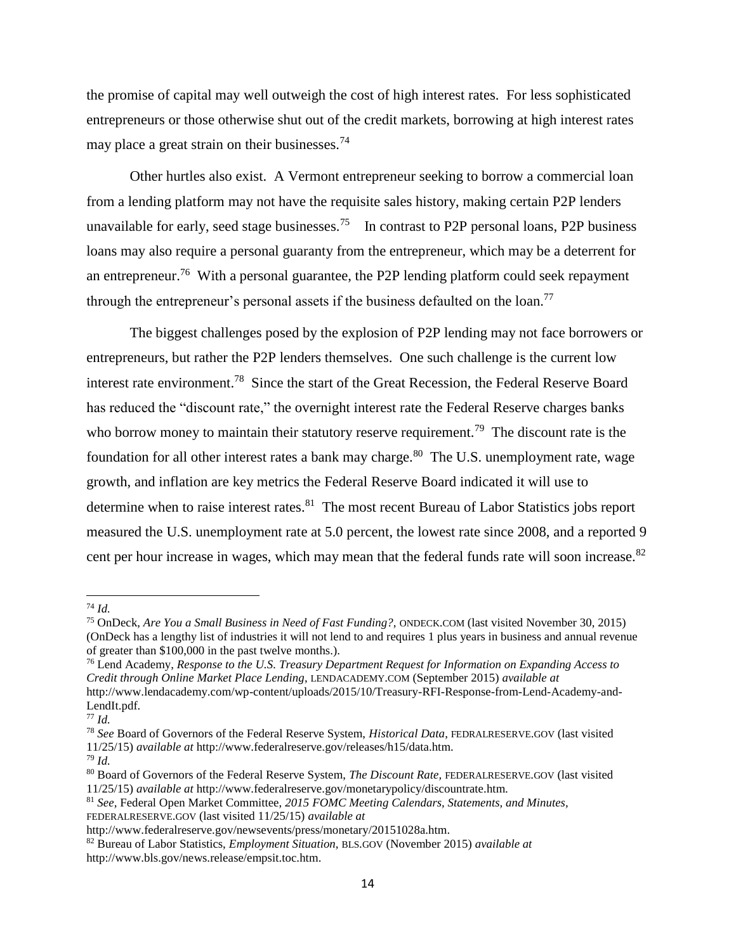the promise of capital may well outweigh the cost of high interest rates. For less sophisticated entrepreneurs or those otherwise shut out of the credit markets, borrowing at high interest rates may place a great strain on their businesses.<sup>74</sup>

Other hurtles also exist. A Vermont entrepreneur seeking to borrow a commercial loan from a lending platform may not have the requisite sales history, making certain P2P lenders unavailable for early, seed stage businesses.<sup>75</sup> In contrast to P2P personal loans, P2P business loans may also require a personal guaranty from the entrepreneur, which may be a deterrent for an entrepreneur.<sup>76</sup> With a personal guarantee, the P2P lending platform could seek repayment through the entrepreneur's personal assets if the business defaulted on the loan.<sup>77</sup>

The biggest challenges posed by the explosion of P2P lending may not face borrowers or entrepreneurs, but rather the P2P lenders themselves. One such challenge is the current low interest rate environment.<sup>78</sup> Since the start of the Great Recession, the Federal Reserve Board has reduced the "discount rate," the overnight interest rate the Federal Reserve charges banks who borrow money to maintain their statutory reserve requirement.<sup>79</sup> The discount rate is the foundation for all other interest rates a bank may charge.<sup>80</sup> The U.S. unemployment rate, wage growth, and inflation are key metrics the Federal Reserve Board indicated it will use to determine when to raise interest rates.<sup>81</sup> The most recent Bureau of Labor Statistics jobs report measured the U.S. unemployment rate at 5.0 percent, the lowest rate since 2008, and a reported 9 cent per hour increase in wages, which may mean that the federal funds rate will soon increase.<sup>82</sup>

 $\overline{\phantom{a}}$ 

<sup>76</sup> Lend Academy, *Response to the U.S. Treasury Department Request for Information on Expanding Access to Credit through Online Market Place Lending*, LENDACADEMY.COM (September 2015) *available at* http://www.lendacademy.com/wp-content/uploads/2015/10/Treasury-RFI-Response-from-Lend-Academy-and-LendIt.pdf.

<sup>74</sup> *Id.*

<sup>75</sup> OnDeck, *Are You a Small Business in Need of Fast Funding?,* ONDECK.COM (last visited November 30, 2015) (OnDeck has a lengthy list of industries it will not lend to and requires 1 plus years in business and annual revenue of greater than \$100,000 in the past twelve months.).

<sup>77</sup> *Id.*

<sup>78</sup> *See* Board of Governors of the Federal Reserve System, *Historical Data*, FEDRALRESERVE.GOV (last visited 11/25/15) *available at* http://www.federalreserve.gov/releases/h15/data.htm.

<sup>79</sup> *Id.*

<sup>80</sup> Board of Governors of the Federal Reserve System, *The Discount Rate,* FEDERALRESERVE.GOV (last visited 11/25/15) *available at* http://www.federalreserve.gov/monetarypolicy/discountrate.htm.

<sup>81</sup> *See,* Federal Open Market Committee, *2015 FOMC Meeting Calendars, Statements, and Minutes,*  FEDERALRESERVE.GOV (last visited 11/25/15) *available at*

[http://www.federalreserve.gov/newsevents/press/monetary/20151028a.htm.](http://www.federalreserve.gov/newsevents/press/monetary/20151028a.htm)

<sup>82</sup> Bureau of Labor Statistics, *Employment Situation,* BLS.GOV (November 2015) *available at* [http://www.bls.gov/news.release/empsit.toc.htm.](http://www.bls.gov/news.release/empsit.toc.htm)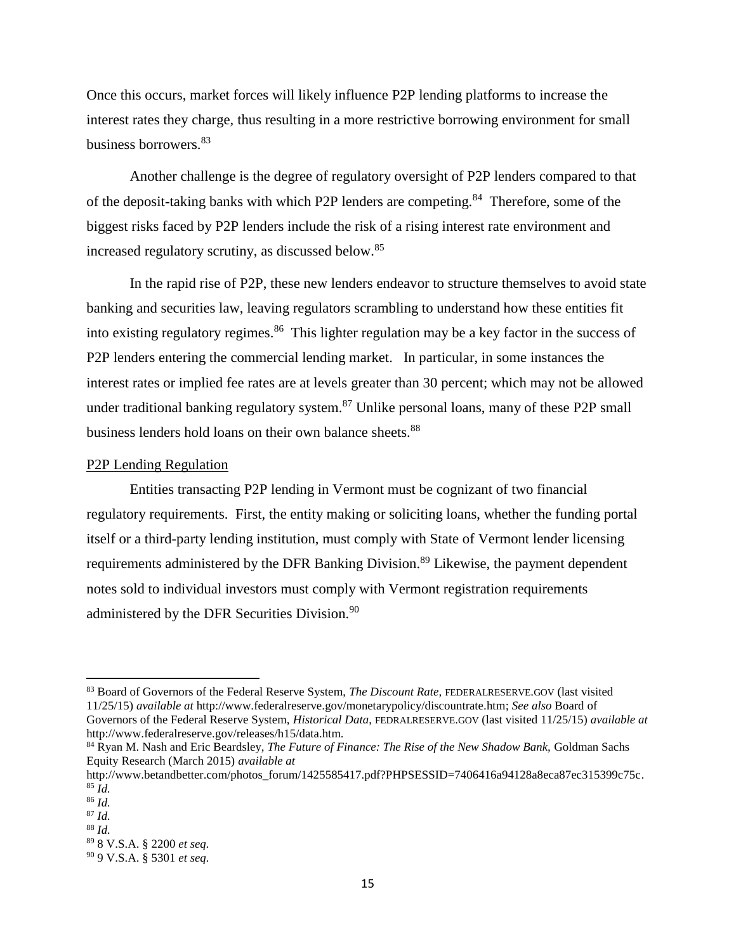Once this occurs, market forces will likely influence P2P lending platforms to increase the interest rates they charge, thus resulting in a more restrictive borrowing environment for small business borrowers.<sup>83</sup>

Another challenge is the degree of regulatory oversight of P2P lenders compared to that of the deposit-taking banks with which P2P lenders are competing.<sup>84</sup> Therefore, some of the biggest risks faced by P2P lenders include the risk of a rising interest rate environment and increased regulatory scrutiny, as discussed below. 85

In the rapid rise of P2P, these new lenders endeavor to structure themselves to avoid state banking and securities law, leaving regulators scrambling to understand how these entities fit into existing regulatory regimes.<sup>86</sup> This lighter regulation may be a key factor in the success of P2P lenders entering the commercial lending market. In particular, in some instances the interest rates or implied fee rates are at levels greater than 30 percent; which may not be allowed under traditional banking regulatory system.<sup>87</sup> Unlike personal loans, many of these P2P small business lenders hold loans on their own balance sheets.<sup>88</sup>

#### <span id="page-16-0"></span>P2P Lending Regulation

Entities transacting P2P lending in Vermont must be cognizant of two financial regulatory requirements. First, the entity making or soliciting loans, whether the funding portal itself or a third-party lending institution, must comply with State of Vermont lender licensing requirements administered by the DFR Banking Division.<sup>89</sup> Likewise, the payment dependent notes sold to individual investors must comply with Vermont registration requirements administered by the DFR Securities Division.<sup>90</sup>

<sup>83</sup> Board of Governors of the Federal Reserve System, *The Discount Rate,* FEDERALRESERVE.GOV (last visited 11/25/15) *available at* [http://www.federalreserve.gov/monetarypolicy/discountrate.htm;](http://www.federalreserve.gov/monetarypolicy/discountrate.htm) *See also* Board of Governors of the Federal Reserve System, *Historical Data*, FEDRALRESERVE.GOV (last visited 11/25/15) *available at* http://www.federalreserve.gov/releases/h15/data.htm.

<sup>84</sup> Ryan M. Nash and Eric Beardsley, *The Future of Finance: The Rise of the New Shadow Bank,* Goldman Sachs Equity Research (March 2015) *available at*

[http://www.betandbetter.com/photos\\_forum/1425585417.pdf?PHPSESSID=7406416a94128a8eca87ec315399c75c.](http://www.betandbetter.com/photos_forum/1425585417.pdf?PHPSESSID=7406416a94128a8eca87ec315399c75c)  $85$   $\tilde{I}$ *d*.

<sup>86</sup> *Id.*

<sup>87</sup> *Id.* <sup>88</sup> *Id.* 

<sup>89</sup> 8 V.S.A. § 2200 *et seq.* <sup>90</sup> 9 V.S.A. § 5301 *et seq.*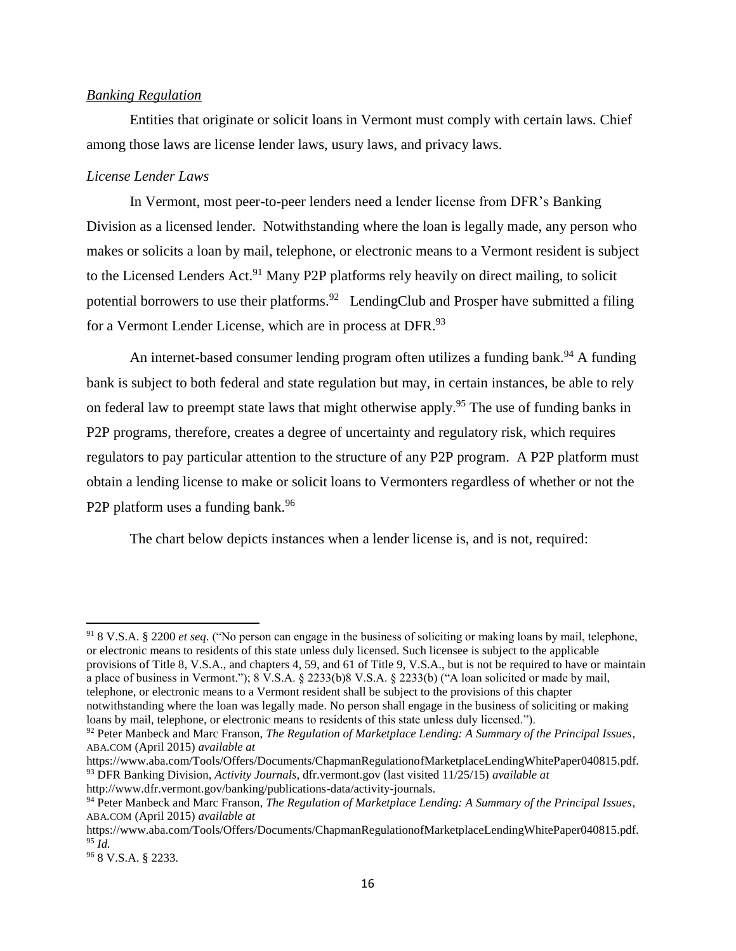### <span id="page-17-0"></span>*Banking Regulation*

Entities that originate or solicit loans in Vermont must comply with certain laws. Chief among those laws are license lender laws, usury laws, and privacy laws.

#### *License Lender Laws*

In Vermont, most peer-to-peer lenders need a lender license from DFR's Banking Division as a licensed lender. Notwithstanding where the loan is legally made, any person who makes or solicits a loan by mail, telephone, or electronic means to a Vermont resident is subject to the Licensed Lenders Act.<sup>91</sup> Many P2P platforms rely heavily on direct mailing, to solicit potential borrowers to use their platforms.<sup>92</sup> LendingClub and Prosper have submitted a filing for a Vermont Lender License, which are in process at DFR.<sup>93</sup>

An internet-based consumer lending program often utilizes a funding bank.<sup>94</sup> A funding bank is subject to both federal and state regulation but may, in certain instances, be able to rely on federal law to preempt state laws that might otherwise apply.<sup>95</sup> The use of funding banks in P2P programs, therefore, creates a degree of uncertainty and regulatory risk, which requires regulators to pay particular attention to the structure of any P2P program. A P2P platform must obtain a lending license to make or solicit loans to Vermonters regardless of whether or not the P2P platform uses a funding bank.<sup>96</sup>

The chart below depicts instances when a lender license is, and is not, required:

<sup>91</sup> 8 V.S.A. § 2200 *et seq.* ("No person can engage in the business of soliciting or making loans by mail, telephone, or electronic means to residents of this state unless duly licensed. Such licensee is subject to the applicable provisions of Title 8, V.S.A., and chapters 4, 59, and 61 of Title 9, V.S.A., but is not be required to have or maintain a place of business in Vermont."); 8 V.S.A. § 2233(b)8 V.S.A. § 2233(b) ("A loan solicited or made by mail, telephone, or electronic means to a Vermont resident shall be subject to the provisions of this chapter notwithstanding where the loan was legally made. No person shall engage in the business of soliciting or making loans by mail, telephone, or electronic means to residents of this state unless duly licensed.").

<sup>92</sup> Peter Manbeck and Marc Franson, *The Regulation of Marketplace Lending: A Summary of the Principal Issues*, ABA.COM (April 2015) *available at*

https://www.aba.com/Tools/Offers/Documents/ChapmanRegulationofMarketplaceLendingWhitePaper040815.pdf. <sup>93</sup> DFR Banking Division, *Activity Journals*, dfr.vermont.gov (last visited 11/25/15) *available at*

http://www.dfr.vermont.gov/banking/publications-data/activity-journals.

<sup>94</sup> Peter Manbeck and Marc Franson, *The Regulation of Marketplace Lending: A Summary of the Principal Issues*, ABA.COM (April 2015) *available at*

https://www.aba.com/Tools/Offers/Documents/ChapmanRegulationofMarketplaceLendingWhitePaper040815.pdf. <sup>95</sup> *Id.*

<sup>96</sup> 8 V.S.A. § 2233.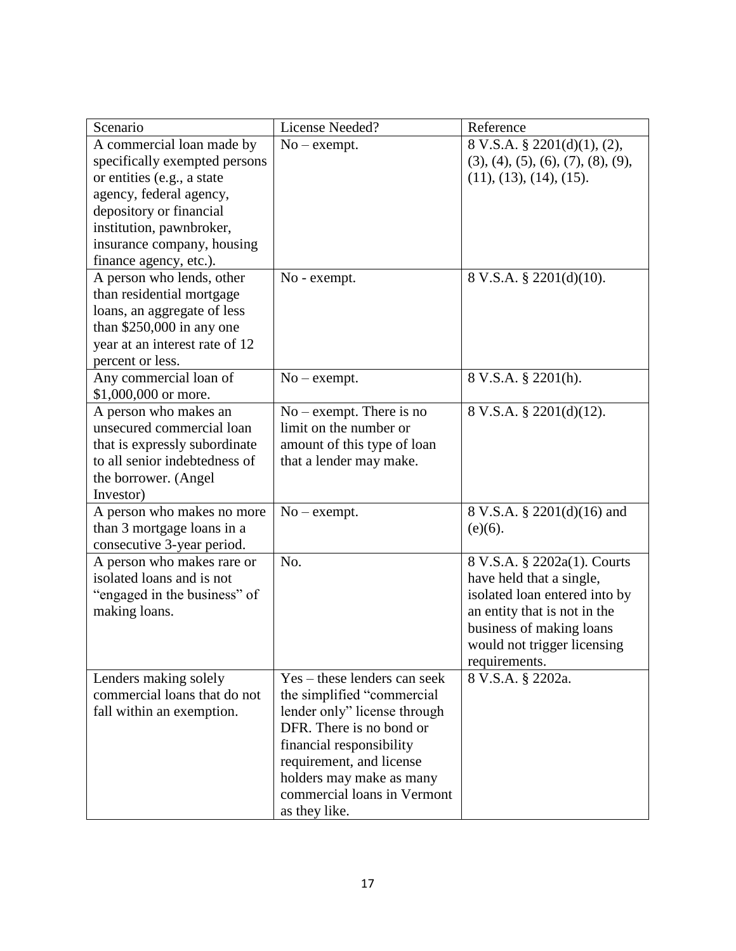| Scenario                       | License Needed?              | Reference                          |
|--------------------------------|------------------------------|------------------------------------|
| A commercial loan made by      | $No$ – exempt.               | 8 V.S.A. § 2201(d)(1), (2),        |
| specifically exempted persons  |                              | (3), (4), (5), (6), (7), (8), (9), |
| or entities (e.g., a state     |                              | (11), (13), (14), (15).            |
| agency, federal agency,        |                              |                                    |
| depository or financial        |                              |                                    |
| institution, pawnbroker,       |                              |                                    |
| insurance company, housing     |                              |                                    |
| finance agency, etc.).         |                              |                                    |
| A person who lends, other      | No - exempt.                 | 8 V.S.A. § 2201(d)(10).            |
| than residential mortgage      |                              |                                    |
| loans, an aggregate of less    |                              |                                    |
| than $$250,000$ in any one     |                              |                                    |
| year at an interest rate of 12 |                              |                                    |
| percent or less.               |                              |                                    |
| Any commercial loan of         | $No$ – exempt.               | 8 V.S.A. § 2201(h).                |
| \$1,000,000 or more.           |                              |                                    |
| A person who makes an          | $No$ – exempt. There is no   | 8 V.S.A. § 2201(d)(12).            |
| unsecured commercial loan      | limit on the number or       |                                    |
| that is expressly subordinate  | amount of this type of loan  |                                    |
| to all senior indebtedness of  | that a lender may make.      |                                    |
| the borrower. (Angel           |                              |                                    |
| Investor)                      |                              |                                    |
| A person who makes no more     | $No$ – exempt.               | 8 V.S.A. § 2201(d)(16) and         |
|                                |                              |                                    |
| than 3 mortgage loans in a     |                              | $(e)(6)$ .                         |
| consecutive 3-year period.     |                              |                                    |
| A person who makes rare or     | No.                          | 8 V.S.A. § 2202a(1). Courts        |
| isolated loans and is not      |                              | have held that a single,           |
| "engaged in the business" of   |                              | isolated loan entered into by      |
| making loans.                  |                              | an entity that is not in the       |
|                                |                              | business of making loans           |
|                                |                              | would not trigger licensing        |
|                                |                              | requirements.                      |
| Lenders making solely          | Yes – these lenders can seek | 8 V.S.A. § 2202a.                  |
| commercial loans that do not   | the simplified "commercial"  |                                    |
| fall within an exemption.      | lender only" license through |                                    |
|                                | DFR. There is no bond or     |                                    |
|                                | financial responsibility     |                                    |
|                                | requirement, and license     |                                    |
|                                | holders may make as many     |                                    |
|                                | commercial loans in Vermont  |                                    |
|                                | as they like.                |                                    |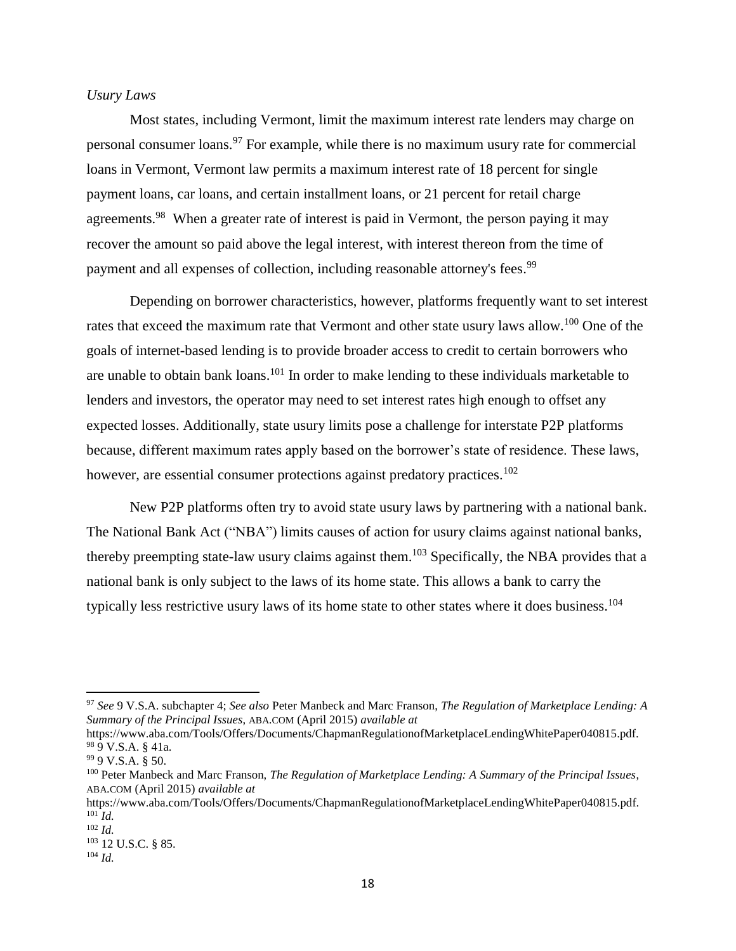### *Usury Laws*

Most states, including Vermont, limit the maximum interest rate lenders may charge on personal consumer loans.<sup>97</sup> For example, while there is no maximum usury rate for commercial loans in Vermont, Vermont law permits a maximum interest rate of 18 percent for single payment loans, car loans, and certain installment loans, or 21 percent for retail charge agreements.<sup>98</sup> When a greater rate of interest is paid in Vermont, the person paying it may recover the amount so paid above the legal interest, with interest thereon from the time of payment and all expenses of collection, including reasonable attorney's fees.<sup>99</sup>

Depending on borrower characteristics, however, platforms frequently want to set interest rates that exceed the maximum rate that Vermont and other state usury laws allow.<sup>100</sup> One of the goals of internet-based lending is to provide broader access to credit to certain borrowers who are unable to obtain bank loans.<sup>101</sup> In order to make lending to these individuals marketable to lenders and investors, the operator may need to set interest rates high enough to offset any expected losses. Additionally, state usury limits pose a challenge for interstate P2P platforms because, different maximum rates apply based on the borrower's state of residence. These laws, however, are essential consumer protections against predatory practices.<sup>102</sup>

New P2P platforms often try to avoid state usury laws by partnering with a national bank. The National Bank Act ("NBA") limits causes of action for usury claims against national banks, thereby preempting state-law usury claims against them.<sup>103</sup> Specifically, the NBA provides that a national bank is only subject to the laws of its home state. This allows a bank to carry the typically less restrictive usury laws of its home state to other states where it does business.<sup>104</sup>

<sup>97</sup> *See* 9 V.S.A. subchapter 4; *See also* Peter Manbeck and Marc Franson, *The Regulation of Marketplace Lending: A Summary of the Principal Issues*, ABA.COM (April 2015) *available at*

https://www.aba.com/Tools/Offers/Documents/ChapmanRegulationofMarketplaceLendingWhitePaper040815.pdf.  $989$  V.S.A. § 41a.

<sup>99</sup> 9 V.S.A. § 50.

<sup>100</sup> Peter Manbeck and Marc Franson, *The Regulation of Marketplace Lending: A Summary of the Principal Issues*, ABA.COM (April 2015) *available at*

https://www.aba.com/Tools/Offers/Documents/ChapmanRegulationofMarketplaceLendingWhitePaper040815.pdf.  $^{101}$  *Id.* 

<sup>102</sup> *Id.*

<sup>103</sup> 12 U.S.C. § 85.

<sup>104</sup> *Id.*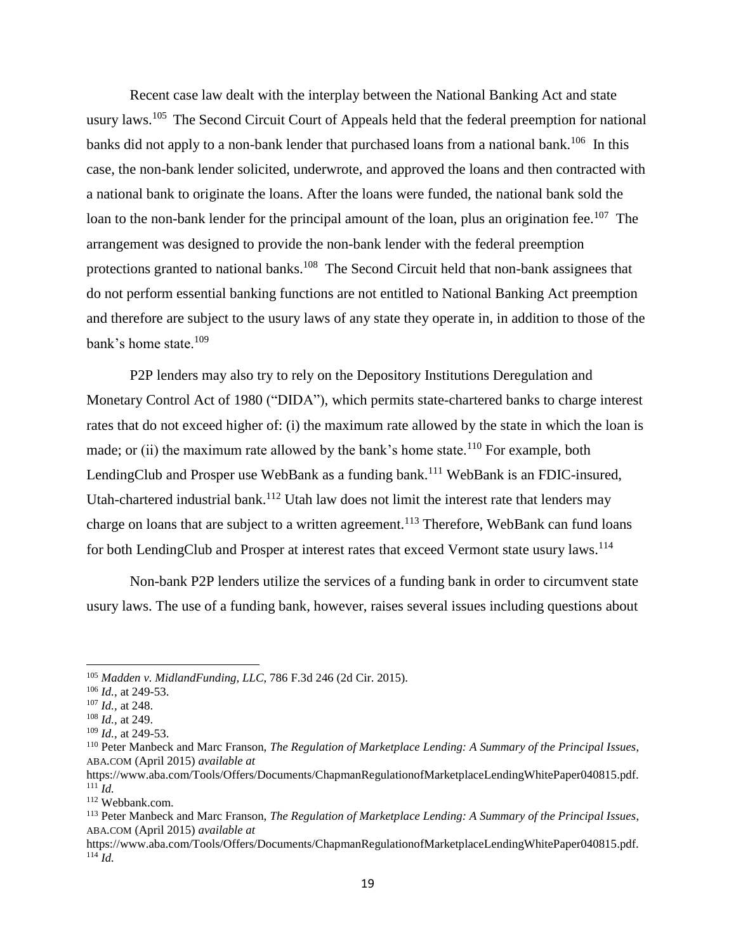Recent case law dealt with the interplay between the National Banking Act and state usury laws.<sup>105</sup> The Second Circuit Court of Appeals held that the federal preemption for national banks did not apply to a non-bank lender that purchased loans from a national bank.<sup>106</sup> In this case, the non-bank lender solicited, underwrote, and approved the loans and then contracted with a national bank to originate the loans. After the loans were funded, the national bank sold the loan to the non-bank lender for the principal amount of the loan, plus an origination fee.<sup>107</sup> The arrangement was designed to provide the non-bank lender with the federal preemption protections granted to national banks.<sup>108</sup> The Second Circuit held that non-bank assignees that do not perform essential banking functions are not entitled to National Banking Act preemption and therefore are subject to the usury laws of any state they operate in, in addition to those of the bank's home state.<sup>109</sup>

P2P lenders may also try to rely on the Depository Institutions Deregulation and Monetary Control Act of 1980 ("DIDA"), which permits state-chartered banks to charge interest rates that do not exceed higher of: (i) the maximum rate allowed by the state in which the loan is made; or (ii) the maximum rate allowed by the bank's home state.<sup>110</sup> For example, both LendingClub and Prosper use WebBank as a funding bank.<sup>111</sup> WebBank is an FDIC-insured, Utah-chartered industrial bank.<sup>112</sup> Utah law does not limit the interest rate that lenders may charge on loans that are subject to a written agreement.<sup>113</sup> Therefore, WebBank can fund loans for both LendingClub and Prosper at interest rates that exceed Vermont state usury laws.<sup>114</sup>

Non-bank P2P lenders utilize the services of a funding bank in order to circumvent state usury laws. The use of a funding bank, however, raises several issues including questions about

<sup>105</sup> *Madden v. MidlandFunding, LLC*, 786 F.3d 246 (2d Cir. 2015).

<sup>106</sup> *Id.,* at 249-53.

<sup>107</sup> *Id.,* at 248.

<sup>108</sup> *Id.,* at 249.

<sup>109</sup> *Id.,* at 249-53.

<sup>110</sup> Peter Manbeck and Marc Franson, *The Regulation of Marketplace Lending: A Summary of the Principal Issues*, ABA.COM (April 2015) *available at*

https://www.aba.com/Tools/Offers/Documents/ChapmanRegulationofMarketplaceLendingWhitePaper040815.pdf.  $\int_0^{111}$ *Id.* 

<sup>112</sup> Webbank.com.

<sup>113</sup> Peter Manbeck and Marc Franson, *The Regulation of Marketplace Lending: A Summary of the Principal Issues*, ABA.COM (April 2015) *available at*

https://www.aba.com/Tools/Offers/Documents/ChapmanRegulationofMarketplaceLendingWhitePaper040815.pdf.  $^{114}$  *Id.*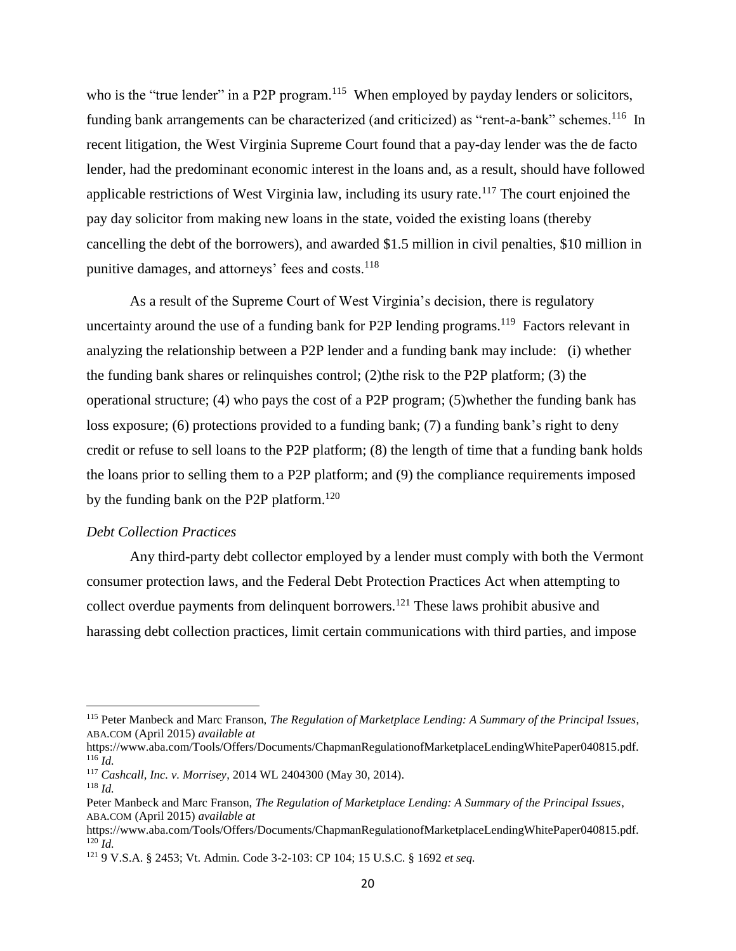who is the "true lender" in a P2P program.<sup>115</sup> When employed by payday lenders or solicitors, funding bank arrangements can be characterized (and criticized) as "rent-a-bank" schemes.<sup>116</sup> In recent litigation, the West Virginia Supreme Court found that a pay-day lender was the de facto lender, had the predominant economic interest in the loans and, as a result, should have followed applicable restrictions of West Virginia law, including its usury rate.<sup>117</sup> The court enjoined the pay day solicitor from making new loans in the state, voided the existing loans (thereby cancelling the debt of the borrowers), and awarded \$1.5 million in civil penalties, \$10 million in punitive damages, and attorneys' fees and costs.<sup>118</sup>

As a result of the Supreme Court of West Virginia's decision, there is regulatory uncertainty around the use of a funding bank for P2P lending programs.<sup>119</sup> Factors relevant in analyzing the relationship between a P2P lender and a funding bank may include: (i) whether the funding bank shares or relinquishes control; (2)the risk to the P2P platform; (3) the operational structure; (4) who pays the cost of a P2P program; (5)whether the funding bank has loss exposure; (6) protections provided to a funding bank; (7) a funding bank's right to deny credit or refuse to sell loans to the P2P platform; (8) the length of time that a funding bank holds the loans prior to selling them to a P2P platform; and (9) the compliance requirements imposed by the funding bank on the P2P platform.<sup>120</sup>

#### *Debt Collection Practices*

Any third-party debt collector employed by a lender must comply with both the Vermont consumer protection laws, and the Federal Debt Protection Practices Act when attempting to collect overdue payments from delinquent borrowers.<sup>121</sup> These laws prohibit abusive and harassing debt collection practices, limit certain communications with third parties, and impose

<sup>115</sup> Peter Manbeck and Marc Franson, *The Regulation of Marketplace Lending: A Summary of the Principal Issues*, ABA.COM (April 2015) *available at*

https://www.aba.com/Tools/Offers/Documents/ChapmanRegulationofMarketplaceLendingWhitePaper040815.pdf. <sup>116</sup> *Id.*

<sup>117</sup> *Cashcall, Inc. v. Morrisey*, 2014 WL 2404300 (May 30, 2014).

<sup>118</sup> *Id.* 

Peter Manbeck and Marc Franson, *The Regulation of Marketplace Lending: A Summary of the Principal Issues*, ABA.COM (April 2015) *available at*

https://www.aba.com/Tools/Offers/Documents/ChapmanRegulationofMarketplaceLendingWhitePaper040815.pdf. <sup>120</sup> *Id.*

<sup>121</sup> 9 V.S.A. § 2453; Vt. Admin. Code 3-2-103: CP 104; 15 U.S.C. § 1692 *et seq.*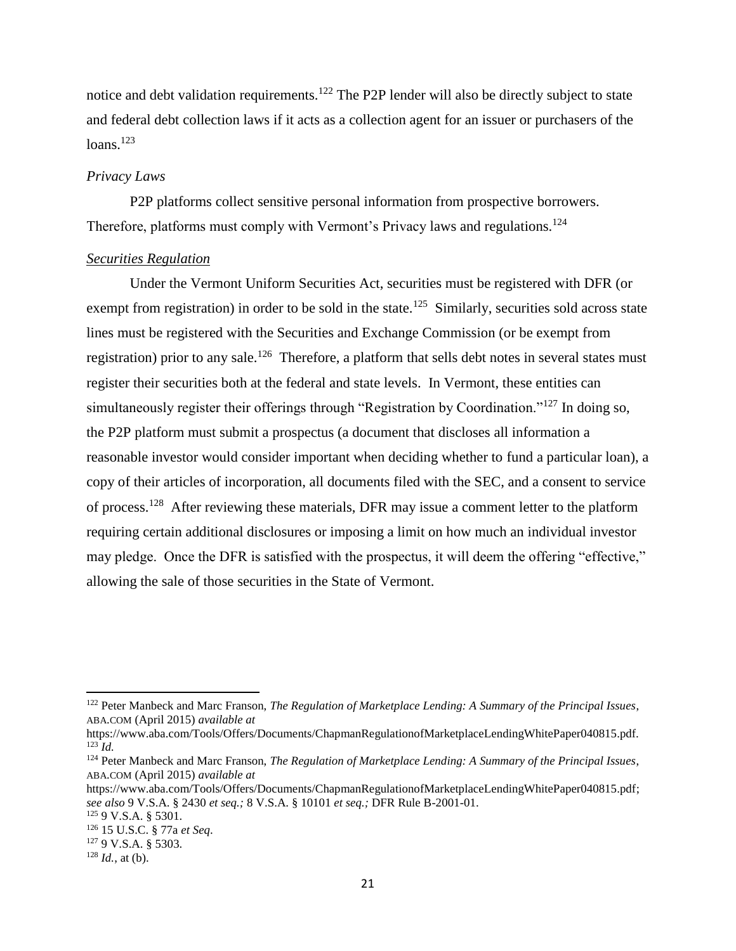notice and debt validation requirements.<sup>122</sup> The P2P lender will also be directly subject to state and federal debt collection laws if it acts as a collection agent for an issuer or purchasers of the loans. $123$ 

#### *Privacy Laws*

P2P platforms collect sensitive personal information from prospective borrowers. Therefore, platforms must comply with Vermont's Privacy laws and regulations.<sup>124</sup>

#### <span id="page-22-0"></span>*Securities Regulation*

Under the Vermont Uniform Securities Act, securities must be registered with DFR (or exempt from registration) in order to be sold in the state.<sup>125</sup> Similarly, securities sold across state lines must be registered with the Securities and Exchange Commission (or be exempt from registration) prior to any sale.<sup>126</sup> Therefore, a platform that sells debt notes in several states must register their securities both at the federal and state levels. In Vermont, these entities can simultaneously register their offerings through "Registration by Coordination."<sup>127</sup> In doing so, the P2P platform must submit a prospectus (a document that discloses all information a reasonable investor would consider important when deciding whether to fund a particular loan), a copy of their articles of incorporation, all documents filed with the SEC, and a consent to service of process.<sup>128</sup> After reviewing these materials, DFR may issue a comment letter to the platform requiring certain additional disclosures or imposing a limit on how much an individual investor may pledge. Once the DFR is satisfied with the prospectus, it will deem the offering "effective," allowing the sale of those securities in the State of Vermont.

<sup>122</sup> Peter Manbeck and Marc Franson, *The Regulation of Marketplace Lending: A Summary of the Principal Issues*, ABA.COM (April 2015) *available at*

https://www.aba.com/Tools/Offers/Documents/ChapmanRegulationofMarketplaceLendingWhitePaper040815.pdf.  $^{123}$ *Id.* 

<sup>124</sup> Peter Manbeck and Marc Franson, *The Regulation of Marketplace Lending: A Summary of the Principal Issues*, ABA.COM (April 2015) *available at*

[https://www.aba.com/Tools/Offers/Documents/ChapmanRegulationofMarketplaceLendingWhitePaper040815.pdf;](https://www.aba.com/Tools/Offers/Documents/ChapmanRegulationofMarketplaceLendingWhitePaper040815.pdf) *see also* 9 V.S.A. § 2430 *et seq.;* 8 V.S.A. § 10101 *et seq.;* DFR Rule B-2001-01.

<sup>125</sup> 9 V.S.A. § 5301.

<sup>126</sup> 15 U.S.C. § 77a *et Seq*.

<sup>127</sup> 9 V.S.A. § 5303.

 $128$  *Id.*, at (b).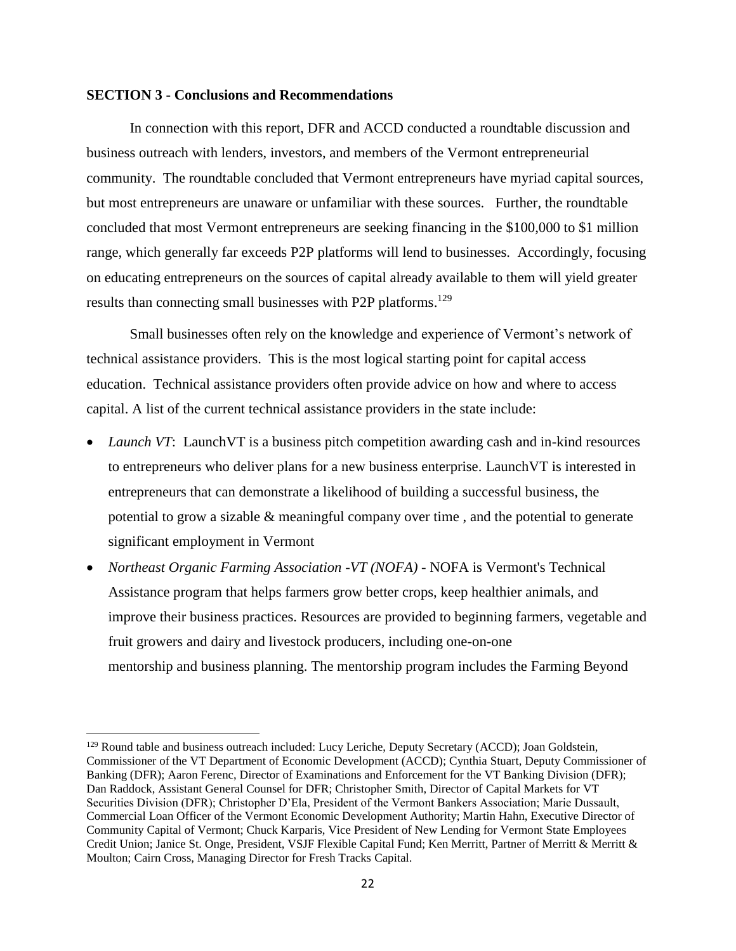#### <span id="page-23-0"></span>**SECTION 3 - Conclusions and Recommendations**

 $\overline{\phantom{a}}$ 

In connection with this report, DFR and ACCD conducted a roundtable discussion and business outreach with lenders, investors, and members of the Vermont entrepreneurial community. The roundtable concluded that Vermont entrepreneurs have myriad capital sources, but most entrepreneurs are unaware or unfamiliar with these sources. Further, the roundtable concluded that most Vermont entrepreneurs are seeking financing in the \$100,000 to \$1 million range, which generally far exceeds P2P platforms will lend to businesses. Accordingly, focusing on educating entrepreneurs on the sources of capital already available to them will yield greater results than connecting small businesses with P2P platforms.<sup>129</sup>

Small businesses often rely on the knowledge and experience of Vermont's network of technical assistance providers. This is the most logical starting point for capital access education. Technical assistance providers often provide advice on how and where to access capital. A list of the current technical assistance providers in the state include:

- *Launch VT*: Launch VT is a business pitch competition awarding cash and in-kind resources to entrepreneurs who deliver plans for a new business enterprise. LaunchVT is interested in entrepreneurs that can demonstrate a likelihood of building a successful business, the potential to grow a sizable & meaningful company over time , and the potential to generate significant employment in Vermont
- *Northeast Organic Farming Association -VT (NOFA)* NOFA is Vermont's Technical Assistance program that helps farmers grow better crops, keep healthier animals, and improve their business practices. Resources are provided to beginning farmers, vegetable and fruit growers and dairy and livestock producers, including one-on-one mentorship and business planning. The mentorship program includes the Farming Beyond

<sup>&</sup>lt;sup>129</sup> Round table and business outreach included: Lucy Leriche, Deputy Secretary (ACCD); Joan Goldstein, Commissioner of the VT Department of Economic Development (ACCD); Cynthia Stuart, Deputy Commissioner of Banking (DFR); Aaron Ferenc, Director of Examinations and Enforcement for the VT Banking Division (DFR); Dan Raddock, Assistant General Counsel for DFR; Christopher Smith, Director of Capital Markets for VT Securities Division (DFR); Christopher D'Ela, President of the Vermont Bankers Association; Marie Dussault, Commercial Loan Officer of the Vermont Economic Development Authority; Martin Hahn, Executive Director of Community Capital of Vermont; Chuck Karparis, Vice President of New Lending for Vermont State Employees Credit Union; Janice St. Onge, President, VSJF Flexible Capital Fund; Ken Merritt, Partner of Merritt & Merritt & Moulton; Cairn Cross, Managing Director for Fresh Tracks Capital.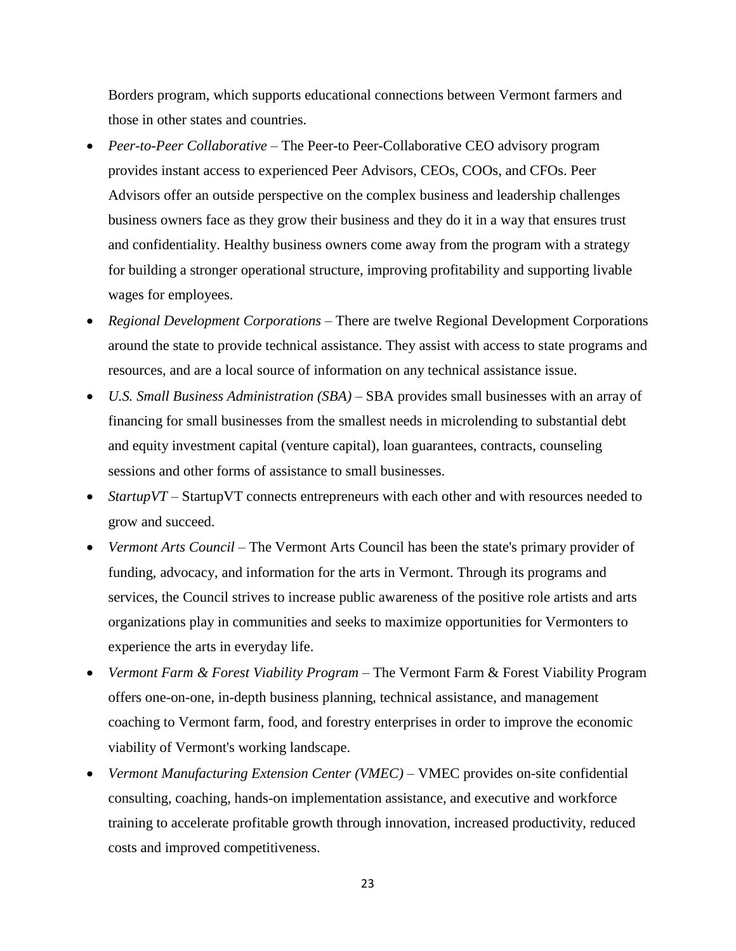Borders program, which supports educational connections between Vermont farmers and those in other states and countries.

- *Peer-to-Peer Collaborative* The Peer-to Peer-Collaborative CEO advisory program provides instant access to experienced Peer Advisors, CEOs, COOs, and CFOs. Peer Advisors offer an outside perspective on the complex business and leadership challenges business owners face as they grow their business and they do it in a way that ensures trust and confidentiality. Healthy business owners come away from the program with a strategy for building a stronger operational structure, improving profitability and supporting livable wages for employees.
- *Regional Development Corporations* There are twelve Regional Development Corporations around the state to provide technical assistance. They assist with access to state programs and resources, and are a local source of information on any technical assistance issue.
- *U.S. Small Business Administration (SBA)* SBA provides small businesses with an array of financing for small businesses from the smallest needs in microlending to substantial debt and equity investment capital (venture capital), loan guarantees, contracts, counseling sessions and other forms of assistance to small businesses.
- *StartupVT* StartupVT connects entrepreneurs with each other and with resources needed to grow and succeed.
- *Vermont Arts Council* The Vermont Arts Council has been the state's primary provider of funding, advocacy, and information for the arts in Vermont. Through its programs and services, the Council strives to increase public awareness of the positive role artists and arts organizations play in communities and seeks to maximize opportunities for Vermonters to experience the arts in everyday life.
- *Vermont Farm & Forest Viability Program –* The Vermont Farm & Forest Viability Program offers one-on-one, in-depth business planning, technical assistance, and management coaching to Vermont farm, food, and forestry enterprises in order to improve the economic viability of Vermont's working landscape.
- *Vermont Manufacturing Extension Center (VMEC) –* VMEC provides on-site confidential consulting, coaching, hands-on implementation assistance, and executive and workforce training to accelerate profitable growth through innovation, increased productivity, reduced costs and improved competitiveness.